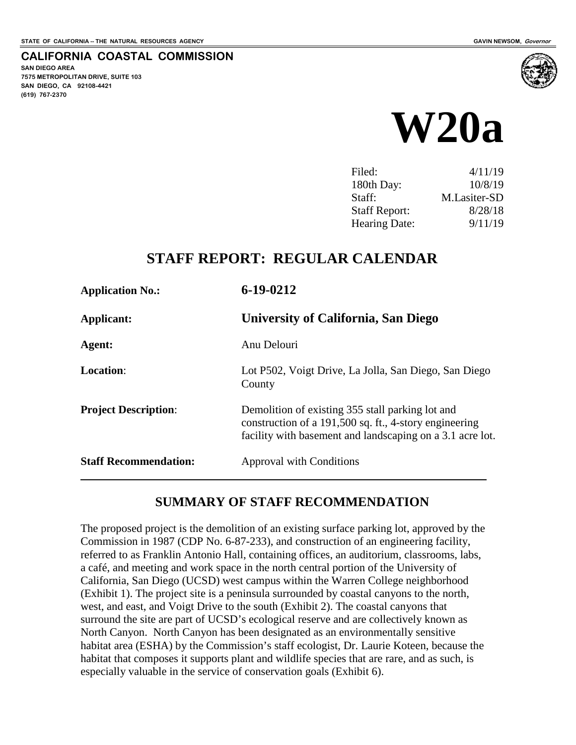**SAN DIEGO AREA**

**(619) 767-2370**

**7575 METROPOLITAN DRIVE, SUITE 103 SAN DIEGO, CA 92108-4421**

**CALIFORNIA COASTAL COMMISSION**



| Filed:               | 4/11/19      |
|----------------------|--------------|
| 180th Day:           | 10/8/19      |
| Staff:               | M.Lasiter-SD |
| <b>Staff Report:</b> | 8/28/18      |
| <b>Hearing Date:</b> | 9/11/19      |

## **STAFF REPORT: REGULAR CALENDAR**

| <b>Application No.:</b>      | $6 - 19 - 0212$                                                                                                                                                         |
|------------------------------|-------------------------------------------------------------------------------------------------------------------------------------------------------------------------|
| Applicant:                   | University of California, San Diego                                                                                                                                     |
| Agent:                       | Anu Delouri                                                                                                                                                             |
| <b>Location:</b>             | Lot P502, Voigt Drive, La Jolla, San Diego, San Diego<br>County                                                                                                         |
| <b>Project Description:</b>  | Demolition of existing 355 stall parking lot and<br>construction of a 191,500 sq. ft., 4-story engineering<br>facility with basement and landscaping on a 3.1 acre lot. |
| <b>Staff Recommendation:</b> | Approval with Conditions                                                                                                                                                |

## **SUMMARY OF STAFF RECOMMENDATION**

The proposed project is the demolition of an existing surface parking lot, approved by the Commission in 1987 (CDP No. 6-87-233), and construction of an engineering facility, referred to as Franklin Antonio Hall, containing offices, an auditorium, classrooms, labs, a café, and meeting and work space in the north central portion of the University of California, San Diego (UCSD) west campus within the Warren College neighborhood (Exhibit 1). The project site is a peninsula surrounded by coastal canyons to the north, west, and east, and Voigt Drive to the south (Exhibit 2). The coastal canyons that surround the site are part of UCSD's ecological reserve and are collectively known as North Canyon. North Canyon has been designated as an environmentally sensitive habitat area (ESHA) by the Commission's staff ecologist, Dr. Laurie Koteen, because the habitat that composes it supports plant and wildlife species that are rare, and as such, is especially valuable in the service of conservation goals (Exhibit 6).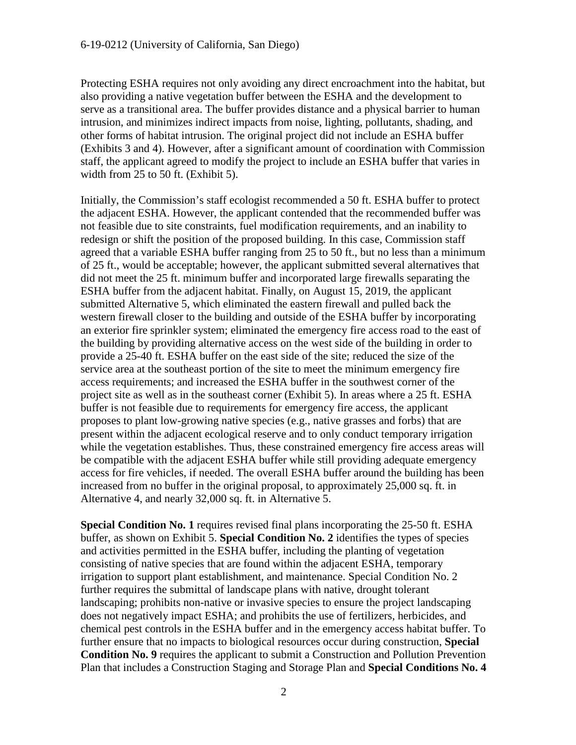Protecting ESHA requires not only avoiding any direct encroachment into the habitat, but also providing a native vegetation buffer between the ESHA and the development to serve as a transitional area. The buffer provides distance and a physical barrier to human intrusion, and minimizes indirect impacts from noise, lighting, pollutants, shading, and other forms of habitat intrusion. The original project did not include an ESHA buffer (Exhibits 3 and 4). However, after a significant amount of coordination with Commission staff, the applicant agreed to modify the project to include an ESHA buffer that varies in width from 25 to 50 ft. (Exhibit 5).

Initially, the Commission's staff ecologist recommended a 50 ft. ESHA buffer to protect the adjacent ESHA. However, the applicant contended that the recommended buffer was not feasible due to site constraints, fuel modification requirements, and an inability to redesign or shift the position of the proposed building. In this case, Commission staff agreed that a variable ESHA buffer ranging from 25 to 50 ft., but no less than a minimum of 25 ft., would be acceptable; however, the applicant submitted several alternatives that did not meet the 25 ft. minimum buffer and incorporated large firewalls separating the ESHA buffer from the adjacent habitat. Finally, on August 15, 2019, the applicant submitted Alternative 5, which eliminated the eastern firewall and pulled back the western firewall closer to the building and outside of the ESHA buffer by incorporating an exterior fire sprinkler system; eliminated the emergency fire access road to the east of the building by providing alternative access on the west side of the building in order to provide a 25-40 ft. ESHA buffer on the east side of the site; reduced the size of the service area at the southeast portion of the site to meet the minimum emergency fire access requirements; and increased the ESHA buffer in the southwest corner of the project site as well as in the southeast corner (Exhibit 5). In areas where a 25 ft. ESHA buffer is not feasible due to requirements for emergency fire access, the applicant proposes to plant low-growing native species (e.g., native grasses and forbs) that are present within the adjacent ecological reserve and to only conduct temporary irrigation while the vegetation establishes. Thus, these constrained emergency fire access areas will be compatible with the adjacent ESHA buffer while still providing adequate emergency access for fire vehicles, if needed. The overall ESHA buffer around the building has been increased from no buffer in the original proposal, to approximately 25,000 sq. ft. in Alternative 4, and nearly 32,000 sq. ft. in Alternative 5.

**Special Condition No. 1** requires revised final plans incorporating the 25-50 ft. ESHA buffer, as shown on Exhibit 5. **Special Condition No. 2** identifies the types of species and activities permitted in the ESHA buffer, including the planting of vegetation consisting of native species that are found within the adjacent ESHA, temporary irrigation to support plant establishment, and maintenance. Special Condition No. 2 further requires the submittal of landscape plans with native, drought tolerant landscaping; prohibits non-native or invasive species to ensure the project landscaping does not negatively impact ESHA; and prohibits the use of fertilizers, herbicides, and chemical pest controls in the ESHA buffer and in the emergency access habitat buffer. To further ensure that no impacts to biological resources occur during construction, **Special Condition No. 9** requires the applicant to submit a Construction and Pollution Prevention Plan that includes a Construction Staging and Storage Plan and **Special Conditions No. 4**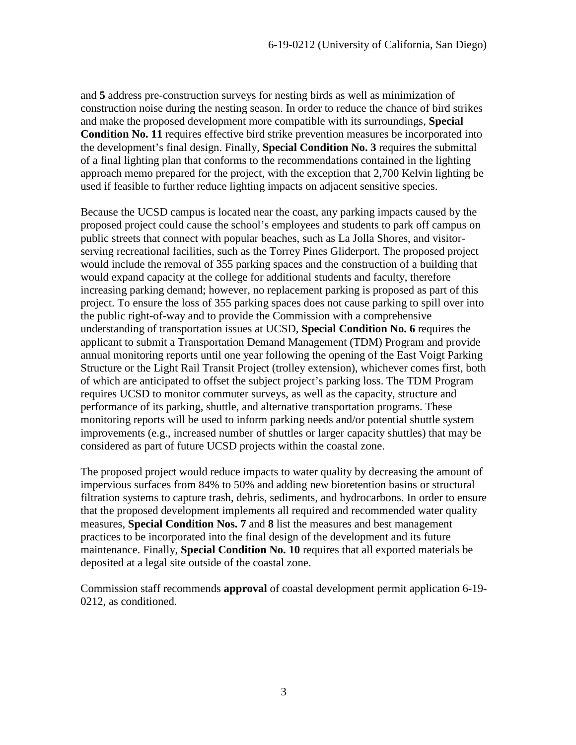and **5** address pre-construction surveys for nesting birds as well as minimization of construction noise during the nesting season. In order to reduce the chance of bird strikes and make the proposed development more compatible with its surroundings, **Special Condition No. 11** requires effective bird strike prevention measures be incorporated into the development's final design. Finally, **Special Condition No. 3** requires the submittal of a final lighting plan that conforms to the recommendations contained in the lighting approach memo prepared for the project, with the exception that 2,700 Kelvin lighting be used if feasible to further reduce lighting impacts on adjacent sensitive species.

Because the UCSD campus is located near the coast, any parking impacts caused by the proposed project could cause the school's employees and students to park off campus on public streets that connect with popular beaches, such as La Jolla Shores, and visitorserving recreational facilities, such as the Torrey Pines Gliderport. The proposed project would include the removal of 355 parking spaces and the construction of a building that would expand capacity at the college for additional students and faculty, therefore increasing parking demand; however, no replacement parking is proposed as part of this project. To ensure the loss of 355 parking spaces does not cause parking to spill over into the public right-of-way and to provide the Commission with a comprehensive understanding of transportation issues at UCSD, **Special Condition No. 6** requires the applicant to submit a Transportation Demand Management (TDM) Program and provide annual monitoring reports until one year following the opening of the East Voigt Parking Structure or the Light Rail Transit Project (trolley extension), whichever comes first, both of which are anticipated to offset the subject project's parking loss. The TDM Program requires UCSD to monitor commuter surveys, as well as the capacity, structure and performance of its parking, shuttle, and alternative transportation programs. These monitoring reports will be used to inform parking needs and/or potential shuttle system improvements (e.g., increased number of shuttles or larger capacity shuttles) that may be considered as part of future UCSD projects within the coastal zone.

The proposed project would reduce impacts to water quality by decreasing the amount of impervious surfaces from 84% to 50% and adding new bioretention basins or structural filtration systems to capture trash, debris, sediments, and hydrocarbons. In order to ensure that the proposed development implements all required and recommended water quality measures, **Special Condition Nos. 7** and **8** list the measures and best management practices to be incorporated into the final design of the development and its future maintenance. Finally, **Special Condition No. 10** requires that all exported materials be deposited at a legal site outside of the coastal zone.

Commission staff recommends **approval** of coastal development permit application 6-19- 0212, as conditioned.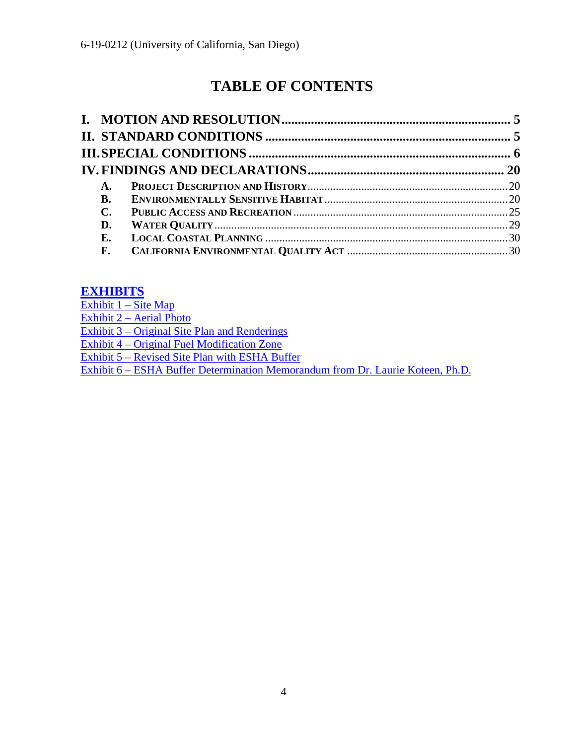# **TABLE OF CONTENTS**

| A.             |  |
|----------------|--|
| <b>B.</b>      |  |
| $\mathbf{C}$ . |  |
| D.             |  |
| E.             |  |
| F.             |  |

## **[EXHIBITS](https://documents.coastal.ca.gov/reports/2019/9/w20a/w20a-9-2019-exhibits.pdf)**

Exhibit  $1 - \text{Site Map}$ [Exhibit 2 – Aerial Photo](https://documents.coastal.ca.gov/reports/2019/9/w20a/w20a-9-2019-exhibits.pdf) [Exhibit 3 – Original Site Plan and Renderings](https://documents.coastal.ca.gov/reports/2019/9/w20a/w20a-9-2019-exhibits.pdf) [Exhibit 4 – Original Fuel Modification Zone](https://documents.coastal.ca.gov/reports/2019/9/w20a/w20a-9-2019-exhibits.pdf)  [Exhibit 5 – Revised Site Plan with ESHA Buffer](https://documents.coastal.ca.gov/reports/2019/9/w20a/w20a-9-2019-exhibits.pdf)  [Exhibit 6 – ESHA Buffer Determination Memorandum from Dr. Laurie Koteen, Ph.D.](https://documents.coastal.ca.gov/reports/2019/9/w20a/w20a-9-2019-exhibits.pdf)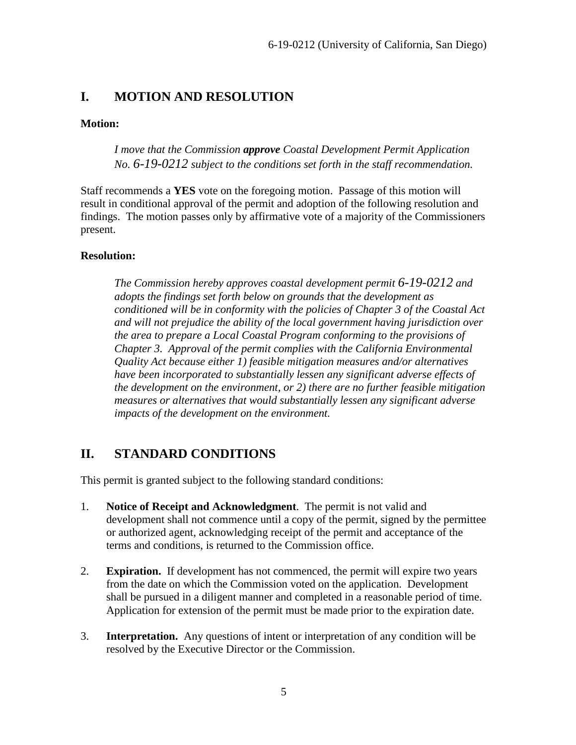## <span id="page-4-0"></span>**I. MOTION AND RESOLUTION**

#### **Motion:**

*I move that the Commission approve Coastal Development Permit Application No. 6-19-0212 subject to the conditions set forth in the staff recommendation.* 

Staff recommends a **YES** vote on the foregoing motion. Passage of this motion will result in conditional approval of the permit and adoption of the following resolution and findings. The motion passes only by affirmative vote of a majority of the Commissioners present.

#### **Resolution:**

*The Commission hereby approves coastal development permit 6-19-0212 and adopts the findings set forth below on grounds that the development as conditioned will be in conformity with the policies of Chapter 3 of the Coastal Act and will not prejudice the ability of the local government having jurisdiction over the area to prepare a Local Coastal Program conforming to the provisions of Chapter 3. Approval of the permit complies with the California Environmental Quality Act because either 1) feasible mitigation measures and/or alternatives have been incorporated to substantially lessen any significant adverse effects of the development on the environment, or 2) there are no further feasible mitigation measures or alternatives that would substantially lessen any significant adverse impacts of the development on the environment.* 

## <span id="page-4-1"></span>**II. STANDARD CONDITIONS**

This permit is granted subject to the following standard conditions:

- 1. **Notice of Receipt and Acknowledgment**. The permit is not valid and development shall not commence until a copy of the permit, signed by the permittee or authorized agent, acknowledging receipt of the permit and acceptance of the terms and conditions, is returned to the Commission office.
- 2. **Expiration.** If development has not commenced, the permit will expire two years from the date on which the Commission voted on the application. Development shall be pursued in a diligent manner and completed in a reasonable period of time. Application for extension of the permit must be made prior to the expiration date.
- 3. **Interpretation.** Any questions of intent or interpretation of any condition will be resolved by the Executive Director or the Commission.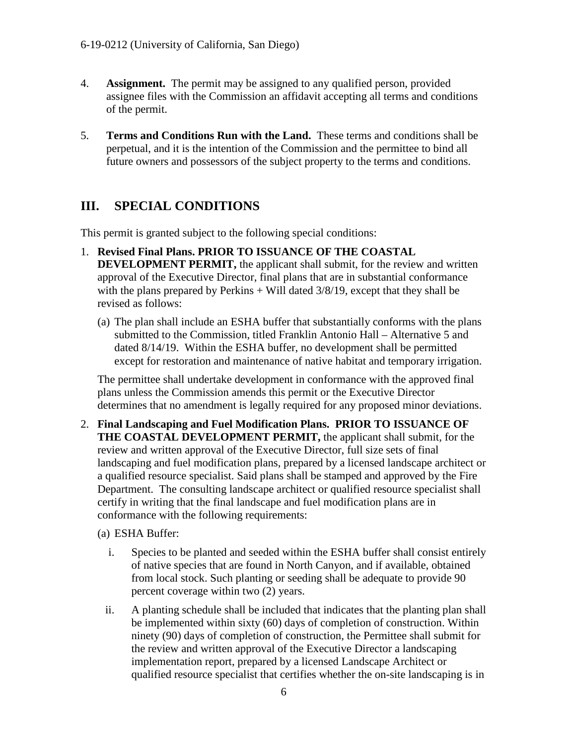- 4. **Assignment.** The permit may be assigned to any qualified person, provided assignee files with the Commission an affidavit accepting all terms and conditions of the permit.
- 5. **Terms and Conditions Run with the Land.** These terms and conditions shall be perpetual, and it is the intention of the Commission and the permittee to bind all future owners and possessors of the subject property to the terms and conditions.

## <span id="page-5-0"></span>**III. SPECIAL CONDITIONS**

This permit is granted subject to the following special conditions:

- 1. **Revised Final Plans. PRIOR TO ISSUANCE OF THE COASTAL DEVELOPMENT PERMIT,** the applicant shall submit, for the review and written approval of the Executive Director, final plans that are in substantial conformance with the plans prepared by Perkins  $+$  Will dated 3/8/19, except that they shall be revised as follows:
	- (a) The plan shall include an ESHA buffer that substantially conforms with the plans submitted to the Commission, titled Franklin Antonio Hall – Alternative 5 and dated 8/14/19. Within the ESHA buffer, no development shall be permitted except for restoration and maintenance of native habitat and temporary irrigation.

The permittee shall undertake development in conformance with the approved final plans unless the Commission amends this permit or the Executive Director determines that no amendment is legally required for any proposed minor deviations.

2. **Final Landscaping and Fuel Modification Plans. PRIOR TO ISSUANCE OF THE COASTAL DEVELOPMENT PERMIT,** the applicant shall submit, for the review and written approval of the Executive Director, full size sets of final landscaping and fuel modification plans, prepared by a licensed landscape architect or a qualified resource specialist. Said plans shall be stamped and approved by the Fire Department. The consulting landscape architect or qualified resource specialist shall certify in writing that the final landscape and fuel modification plans are in conformance with the following requirements:

#### (a) ESHA Buffer:

- i. Species to be planted and seeded within the ESHA buffer shall consist entirely of native species that are found in North Canyon, and if available, obtained from local stock. Such planting or seeding shall be adequate to provide 90 percent coverage within two (2) years.
- ii. A planting schedule shall be included that indicates that the planting plan shall be implemented within sixty (60) days of completion of construction. Within ninety (90) days of completion of construction, the Permittee shall submit for the review and written approval of the Executive Director a landscaping implementation report, prepared by a licensed Landscape Architect or qualified resource specialist that certifies whether the on-site landscaping is in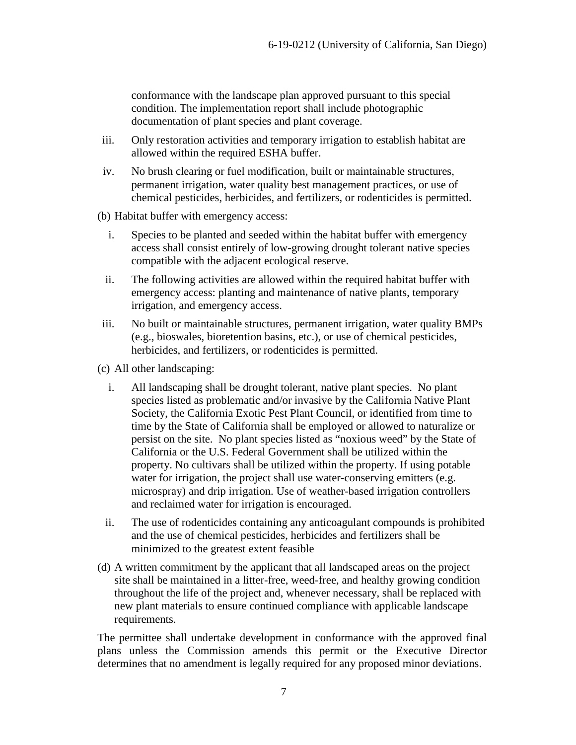conformance with the landscape plan approved pursuant to this special condition. The implementation report shall include photographic documentation of plant species and plant coverage.

- iii. Only restoration activities and temporary irrigation to establish habitat are allowed within the required ESHA buffer.
- iv. No brush clearing or fuel modification, built or maintainable structures, permanent irrigation, water quality best management practices, or use of chemical pesticides, herbicides, and fertilizers, or rodenticides is permitted.

(b) Habitat buffer with emergency access:

- i. Species to be planted and seeded within the habitat buffer with emergency access shall consist entirely of low-growing drought tolerant native species compatible with the adjacent ecological reserve.
- ii. The following activities are allowed within the required habitat buffer with emergency access: planting and maintenance of native plants, temporary irrigation, and emergency access.
- iii. No built or maintainable structures, permanent irrigation, water quality BMPs (e.g., bioswales, bioretention basins, etc.), or use of chemical pesticides, herbicides, and fertilizers, or rodenticides is permitted.
- (c) All other landscaping:
	- i. All landscaping shall be drought tolerant, native plant species. No plant species listed as problematic and/or invasive by the California Native Plant Society, the California Exotic Pest Plant Council, or identified from time to time by the State of California shall be employed or allowed to naturalize or persist on the site. No plant species listed as "noxious weed" by the State of California or the U.S. Federal Government shall be utilized within the property. No cultivars shall be utilized within the property. If using potable water for irrigation, the project shall use water-conserving emitters (e.g. microspray) and drip irrigation. Use of weather-based irrigation controllers and reclaimed water for irrigation is encouraged.
	- ii. The use of rodenticides containing any anticoagulant compounds is prohibited and the use of chemical pesticides, herbicides and fertilizers shall be minimized to the greatest extent feasible
- (d) A written commitment by the applicant that all landscaped areas on the project site shall be maintained in a litter-free, weed-free, and healthy growing condition throughout the life of the project and, whenever necessary, shall be replaced with new plant materials to ensure continued compliance with applicable landscape requirements.

The permittee shall undertake development in conformance with the approved final plans unless the Commission amends this permit or the Executive Director determines that no amendment is legally required for any proposed minor deviations.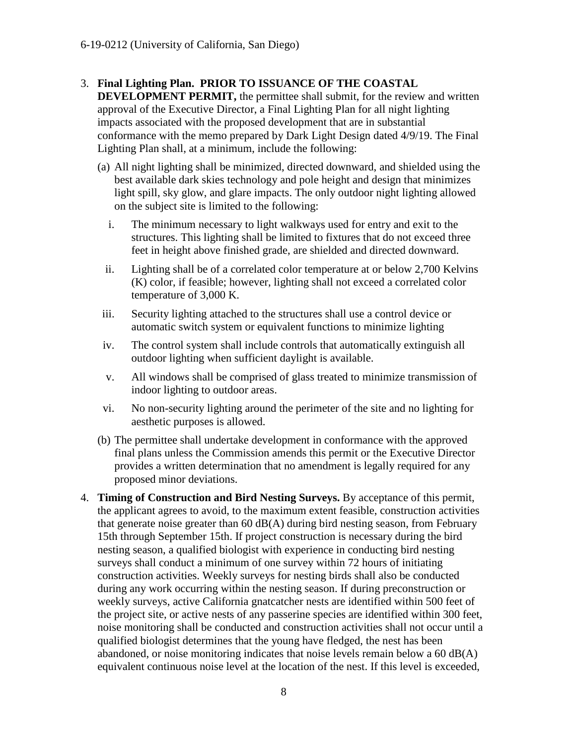#### 3. **Final Lighting Plan. PRIOR TO ISSUANCE OF THE COASTAL**

**DEVELOPMENT PERMIT, the permittee shall submit, for the review and written** approval of the Executive Director, a Final Lighting Plan for all night lighting impacts associated with the proposed development that are in substantial conformance with the memo prepared by Dark Light Design dated 4/9/19. The Final Lighting Plan shall, at a minimum, include the following:

- (a) All night lighting shall be minimized, directed downward, and shielded using the best available dark skies technology and pole height and design that minimizes light spill, sky glow, and glare impacts. The only outdoor night lighting allowed on the subject site is limited to the following:
	- i. The minimum necessary to light walkways used for entry and exit to the structures. This lighting shall be limited to fixtures that do not exceed three feet in height above finished grade, are shielded and directed downward.
	- ii. Lighting shall be of a correlated color temperature at or below 2,700 Kelvins (K) color, if feasible; however, lighting shall not exceed a correlated color temperature of 3,000 K.
- iii. Security lighting attached to the structures shall use a control device or automatic switch system or equivalent functions to minimize lighting
- iv. The control system shall include controls that automatically extinguish all outdoor lighting when sufficient daylight is available.
- v. All windows shall be comprised of glass treated to minimize transmission of indoor lighting to outdoor areas.
- vi. No non-security lighting around the perimeter of the site and no lighting for aesthetic purposes is allowed.
- (b) The permittee shall undertake development in conformance with the approved final plans unless the Commission amends this permit or the Executive Director provides a written determination that no amendment is legally required for any proposed minor deviations.
- 4. **Timing of Construction and Bird Nesting Surveys.** By acceptance of this permit, the applicant agrees to avoid, to the maximum extent feasible, construction activities that generate noise greater than 60 dB(A) during bird nesting season, from February 15th through September 15th. If project construction is necessary during the bird nesting season, a qualified biologist with experience in conducting bird nesting surveys shall conduct a minimum of one survey within 72 hours of initiating construction activities. Weekly surveys for nesting birds shall also be conducted during any work occurring within the nesting season. If during preconstruction or weekly surveys, active California gnatcatcher nests are identified within 500 feet of the project site, or active nests of any passerine species are identified within 300 feet, noise monitoring shall be conducted and construction activities shall not occur until a qualified biologist determines that the young have fledged, the nest has been abandoned, or noise monitoring indicates that noise levels remain below a 60 dB(A) equivalent continuous noise level at the location of the nest. If this level is exceeded,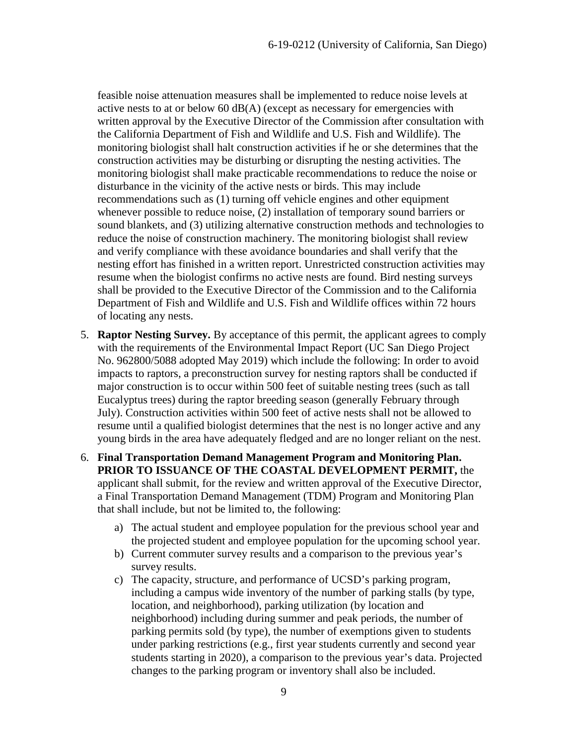feasible noise attenuation measures shall be implemented to reduce noise levels at active nests to at or below 60  $dB(A)$  (except as necessary for emergencies with written approval by the Executive Director of the Commission after consultation with the California Department of Fish and Wildlife and U.S. Fish and Wildlife). The monitoring biologist shall halt construction activities if he or she determines that the construction activities may be disturbing or disrupting the nesting activities. The monitoring biologist shall make practicable recommendations to reduce the noise or disturbance in the vicinity of the active nests or birds. This may include recommendations such as (1) turning off vehicle engines and other equipment whenever possible to reduce noise, (2) installation of temporary sound barriers or sound blankets, and (3) utilizing alternative construction methods and technologies to reduce the noise of construction machinery. The monitoring biologist shall review and verify compliance with these avoidance boundaries and shall verify that the nesting effort has finished in a written report. Unrestricted construction activities may resume when the biologist confirms no active nests are found. Bird nesting surveys shall be provided to the Executive Director of the Commission and to the California Department of Fish and Wildlife and U.S. Fish and Wildlife offices within 72 hours of locating any nests.

- 5. **Raptor Nesting Survey.** By acceptance of this permit, the applicant agrees to comply with the requirements of the Environmental Impact Report (UC San Diego Project No. 962800/5088 adopted May 2019) which include the following: In order to avoid impacts to raptors, a preconstruction survey for nesting raptors shall be conducted if major construction is to occur within 500 feet of suitable nesting trees (such as tall Eucalyptus trees) during the raptor breeding season (generally February through July). Construction activities within 500 feet of active nests shall not be allowed to resume until a qualified biologist determines that the nest is no longer active and any young birds in the area have adequately fledged and are no longer reliant on the nest.
- 6. **Final Transportation Demand Management Program and Monitoring Plan. PRIOR TO ISSUANCE OF THE COASTAL DEVELOPMENT PERMIT,** the applicant shall submit, for the review and written approval of the Executive Director, a Final Transportation Demand Management (TDM) Program and Monitoring Plan that shall include, but not be limited to, the following:
	- a) The actual student and employee population for the previous school year and the projected student and employee population for the upcoming school year.
	- b) Current commuter survey results and a comparison to the previous year's survey results.
	- c) The capacity, structure, and performance of UCSD's parking program, including a campus wide inventory of the number of parking stalls (by type, location, and neighborhood), parking utilization (by location and neighborhood) including during summer and peak periods, the number of parking permits sold (by type), the number of exemptions given to students under parking restrictions (e.g., first year students currently and second year students starting in 2020), a comparison to the previous year's data. Projected changes to the parking program or inventory shall also be included.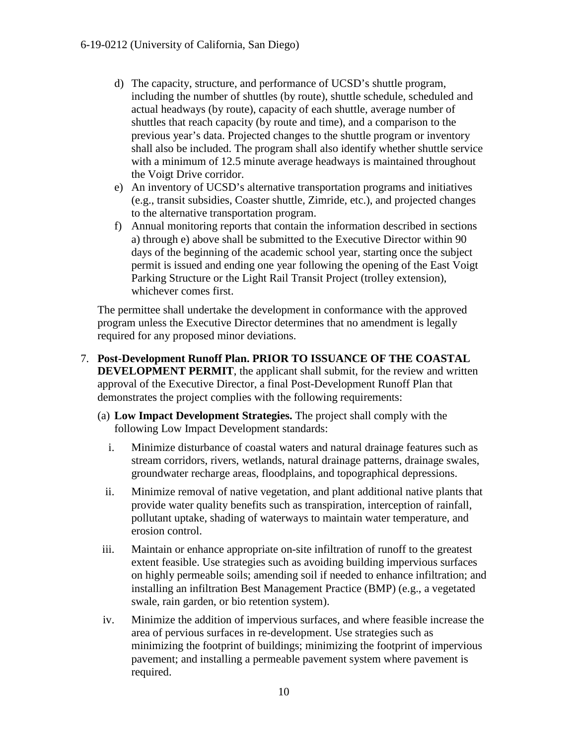- d) The capacity, structure, and performance of UCSD's shuttle program, including the number of shuttles (by route), shuttle schedule, scheduled and actual headways (by route), capacity of each shuttle, average number of shuttles that reach capacity (by route and time), and a comparison to the previous year's data. Projected changes to the shuttle program or inventory shall also be included. The program shall also identify whether shuttle service with a minimum of 12.5 minute average headways is maintained throughout the Voigt Drive corridor.
- e) An inventory of UCSD's alternative transportation programs and initiatives (e.g., transit subsidies, Coaster shuttle, Zimride, etc.), and projected changes to the alternative transportation program.
- f) Annual monitoring reports that contain the information described in sections a) through e) above shall be submitted to the Executive Director within 90 days of the beginning of the academic school year, starting once the subject permit is issued and ending one year following the opening of the East Voigt Parking Structure or the Light Rail Transit Project (trolley extension), whichever comes first.

The permittee shall undertake the development in conformance with the approved program unless the Executive Director determines that no amendment is legally required for any proposed minor deviations.

- 7. **Post-Development Runoff Plan. PRIOR TO ISSUANCE OF THE COASTAL DEVELOPMENT PERMIT**, the applicant shall submit, for the review and written approval of the Executive Director, a final Post-Development Runoff Plan that demonstrates the project complies with the following requirements:
	- (a) **Low Impact Development Strategies.** The project shall comply with the following Low Impact Development standards:
		- i. Minimize disturbance of coastal waters and natural drainage features such as stream corridors, rivers, wetlands, natural drainage patterns, drainage swales, groundwater recharge areas, floodplains, and topographical depressions.
		- ii. Minimize removal of native vegetation, and plant additional native plants that provide water quality benefits such as transpiration, interception of rainfall, pollutant uptake, shading of waterways to maintain water temperature, and erosion control.
	- iii. Maintain or enhance appropriate on-site infiltration of runoff to the greatest extent feasible. Use strategies such as avoiding building impervious surfaces on highly permeable soils; amending soil if needed to enhance infiltration; and installing an infiltration Best Management Practice (BMP) (e.g., a vegetated swale, rain garden, or bio retention system).
	- iv. Minimize the addition of impervious surfaces, and where feasible increase the area of pervious surfaces in re-development. Use strategies such as minimizing the footprint of buildings; minimizing the footprint of impervious pavement; and installing a permeable pavement system where pavement is required.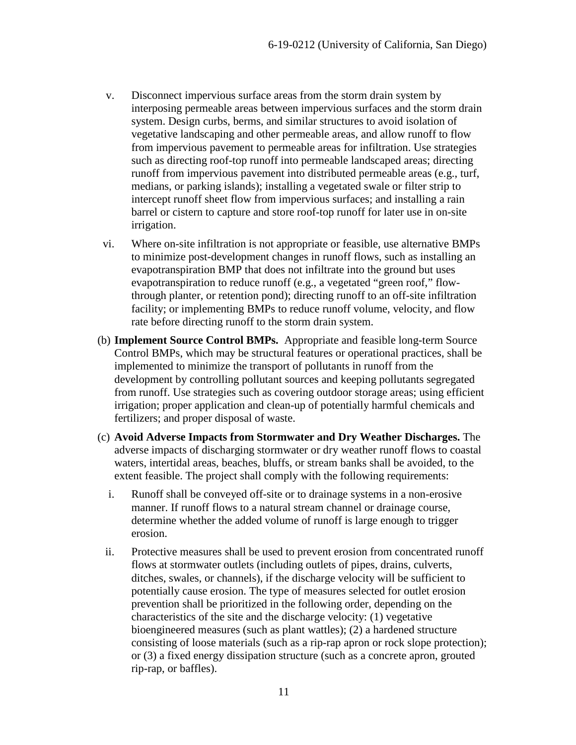- v. Disconnect impervious surface areas from the storm drain system by interposing permeable areas between impervious surfaces and the storm drain system. Design curbs, berms, and similar structures to avoid isolation of vegetative landscaping and other permeable areas, and allow runoff to flow from impervious pavement to permeable areas for infiltration. Use strategies such as directing roof-top runoff into permeable landscaped areas; directing runoff from impervious pavement into distributed permeable areas (e.g., turf, medians, or parking islands); installing a vegetated swale or filter strip to intercept runoff sheet flow from impervious surfaces; and installing a rain barrel or cistern to capture and store roof-top runoff for later use in on-site irrigation.
- vi. Where on-site infiltration is not appropriate or feasible, use alternative BMPs to minimize post-development changes in runoff flows, such as installing an evapotranspiration BMP that does not infiltrate into the ground but uses evapotranspiration to reduce runoff (e.g., a vegetated "green roof," flowthrough planter, or retention pond); directing runoff to an off-site infiltration facility; or implementing BMPs to reduce runoff volume, velocity, and flow rate before directing runoff to the storm drain system.
- (b) **Implement Source Control BMPs.** Appropriate and feasible long-term Source Control BMPs, which may be structural features or operational practices, shall be implemented to minimize the transport of pollutants in runoff from the development by controlling pollutant sources and keeping pollutants segregated from runoff. Use strategies such as covering outdoor storage areas; using efficient irrigation; proper application and clean-up of potentially harmful chemicals and fertilizers; and proper disposal of waste.
- (c) **Avoid Adverse Impacts from Stormwater and Dry Weather Discharges.** The adverse impacts of discharging stormwater or dry weather runoff flows to coastal waters, intertidal areas, beaches, bluffs, or stream banks shall be avoided, to the extent feasible. The project shall comply with the following requirements:
	- i. Runoff shall be conveyed off-site or to drainage systems in a non-erosive manner. If runoff flows to a natural stream channel or drainage course, determine whether the added volume of runoff is large enough to trigger erosion.
- ii. Protective measures shall be used to prevent erosion from concentrated runoff flows at stormwater outlets (including outlets of pipes, drains, culverts, ditches, swales, or channels), if the discharge velocity will be sufficient to potentially cause erosion. The type of measures selected for outlet erosion prevention shall be prioritized in the following order, depending on the characteristics of the site and the discharge velocity: (1) vegetative bioengineered measures (such as plant wattles); (2) a hardened structure consisting of loose materials (such as a rip-rap apron or rock slope protection); or (3) a fixed energy dissipation structure (such as a concrete apron, grouted rip-rap, or baffles).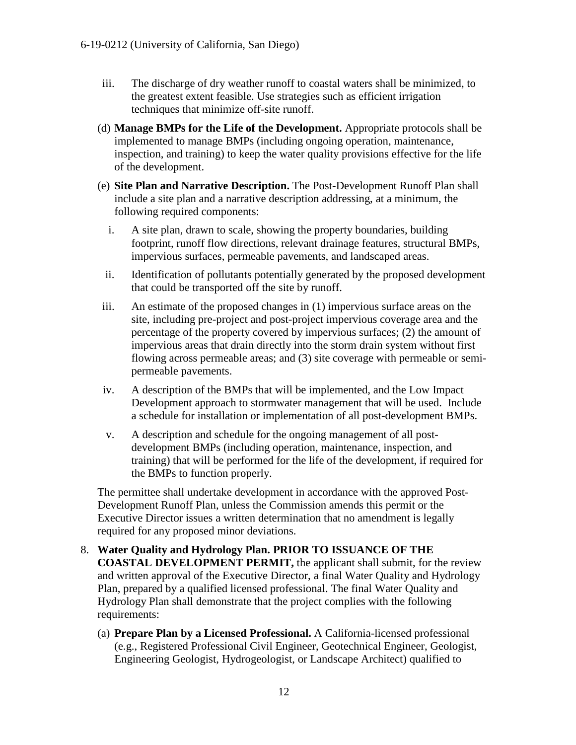- iii. The discharge of dry weather runoff to coastal waters shall be minimized, to the greatest extent feasible. Use strategies such as efficient irrigation techniques that minimize off-site runoff.
- (d) **Manage BMPs for the Life of the Development.** Appropriate protocols shall be implemented to manage BMPs (including ongoing operation, maintenance, inspection, and training) to keep the water quality provisions effective for the life of the development.
- (e) **Site Plan and Narrative Description.** The Post-Development Runoff Plan shall include a site plan and a narrative description addressing, at a minimum, the following required components:
	- i. A site plan, drawn to scale, showing the property boundaries, building footprint, runoff flow directions, relevant drainage features, structural BMPs, impervious surfaces, permeable pavements, and landscaped areas.
	- ii. Identification of pollutants potentially generated by the proposed development that could be transported off the site by runoff.
- iii. An estimate of the proposed changes in (1) impervious surface areas on the site, including pre-project and post-project impervious coverage area and the percentage of the property covered by impervious surfaces; (2) the amount of impervious areas that drain directly into the storm drain system without first flowing across permeable areas; and (3) site coverage with permeable or semipermeable pavements.
- iv. A description of the BMPs that will be implemented, and the Low Impact Development approach to stormwater management that will be used. Include a schedule for installation or implementation of all post-development BMPs.
- v. A description and schedule for the ongoing management of all postdevelopment BMPs (including operation, maintenance, inspection, and training) that will be performed for the life of the development, if required for the BMPs to function properly.

The permittee shall undertake development in accordance with the approved Post-Development Runoff Plan, unless the Commission amends this permit or the Executive Director issues a written determination that no amendment is legally required for any proposed minor deviations.

- 8. **Water Quality and Hydrology Plan. PRIOR TO ISSUANCE OF THE COASTAL DEVELOPMENT PERMIT,** the applicant shall submit, for the review and written approval of the Executive Director, a final Water Quality and Hydrology Plan, prepared by a qualified licensed professional. The final Water Quality and Hydrology Plan shall demonstrate that the project complies with the following requirements:
	- (a) **Prepare Plan by a Licensed Professional.** A California-licensed professional (e.g., Registered Professional Civil Engineer, Geotechnical Engineer, Geologist, Engineering Geologist, Hydrogeologist, or Landscape Architect) qualified to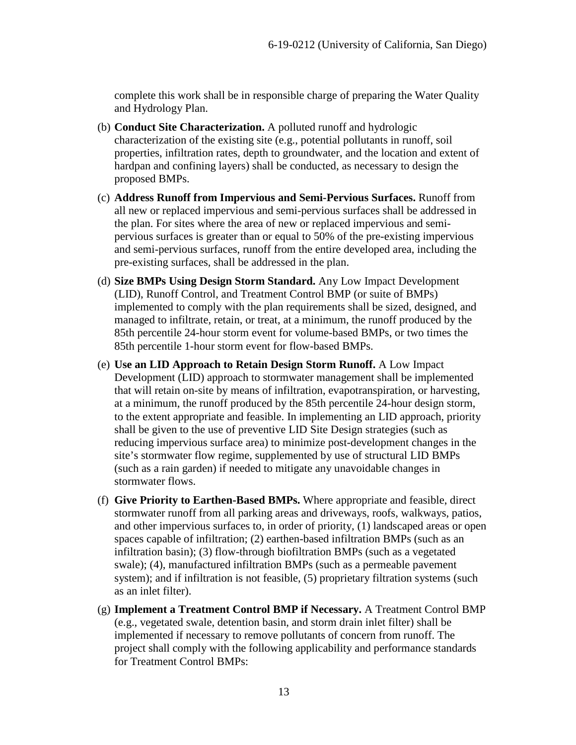complete this work shall be in responsible charge of preparing the Water Quality and Hydrology Plan.

- (b) **Conduct Site Characterization.** A polluted runoff and hydrologic characterization of the existing site (e.g., potential pollutants in runoff, soil properties, infiltration rates, depth to groundwater, and the location and extent of hardpan and confining layers) shall be conducted, as necessary to design the proposed BMPs.
- (c) **Address Runoff from Impervious and Semi-Pervious Surfaces.** Runoff from all new or replaced impervious and semi-pervious surfaces shall be addressed in the plan. For sites where the area of new or replaced impervious and semipervious surfaces is greater than or equal to 50% of the pre-existing impervious and semi-pervious surfaces, runoff from the entire developed area, including the pre-existing surfaces, shall be addressed in the plan.
- (d) **Size BMPs Using Design Storm Standard.** Any Low Impact Development (LID), Runoff Control, and Treatment Control BMP (or suite of BMPs) implemented to comply with the plan requirements shall be sized, designed, and managed to infiltrate, retain, or treat, at a minimum, the runoff produced by the 85th percentile 24-hour storm event for volume-based BMPs, or two times the 85th percentile 1-hour storm event for flow-based BMPs.
- (e) **Use an LID Approach to Retain Design Storm Runoff.** A Low Impact Development (LID) approach to stormwater management shall be implemented that will retain on-site by means of infiltration, evapotranspiration, or harvesting, at a minimum, the runoff produced by the 85th percentile 24-hour design storm, to the extent appropriate and feasible. In implementing an LID approach, priority shall be given to the use of preventive LID Site Design strategies (such as reducing impervious surface area) to minimize post-development changes in the site's stormwater flow regime, supplemented by use of structural LID BMPs (such as a rain garden) if needed to mitigate any unavoidable changes in stormwater flows.
- (f) **Give Priority to Earthen-Based BMPs.** Where appropriate and feasible, direct stormwater runoff from all parking areas and driveways, roofs, walkways, patios, and other impervious surfaces to, in order of priority, (1) landscaped areas or open spaces capable of infiltration; (2) earthen-based infiltration BMPs (such as an infiltration basin); (3) flow-through biofiltration BMPs (such as a vegetated swale); (4), manufactured infiltration BMPs (such as a permeable pavement system); and if infiltration is not feasible, (5) proprietary filtration systems (such as an inlet filter).
- (g) **Implement a Treatment Control BMP if Necessary.** A Treatment Control BMP (e.g., vegetated swale, detention basin, and storm drain inlet filter) shall be implemented if necessary to remove pollutants of concern from runoff. The project shall comply with the following applicability and performance standards for Treatment Control BMPs: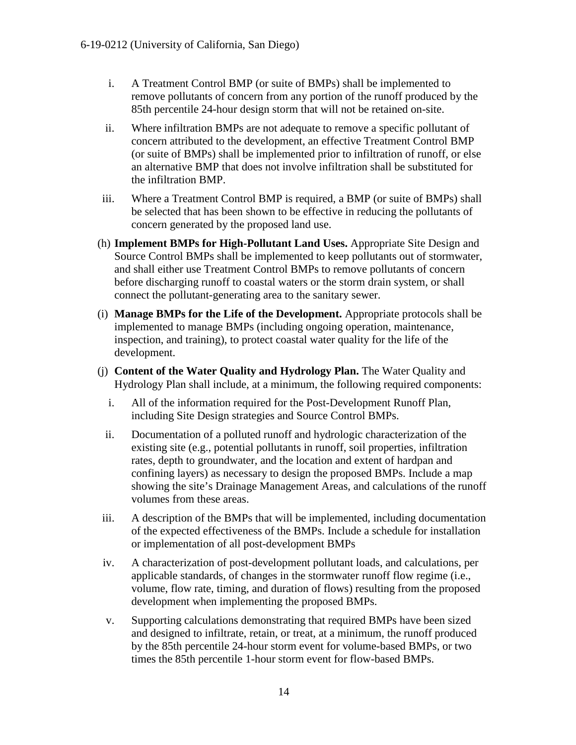- i. A Treatment Control BMP (or suite of BMPs) shall be implemented to remove pollutants of concern from any portion of the runoff produced by the 85th percentile 24-hour design storm that will not be retained on-site.
- ii. Where infiltration BMPs are not adequate to remove a specific pollutant of concern attributed to the development, an effective Treatment Control BMP (or suite of BMPs) shall be implemented prior to infiltration of runoff, or else an alternative BMP that does not involve infiltration shall be substituted for the infiltration BMP.
- iii. Where a Treatment Control BMP is required, a BMP (or suite of BMPs) shall be selected that has been shown to be effective in reducing the pollutants of concern generated by the proposed land use.
- (h) **Implement BMPs for High-Pollutant Land Uses.** Appropriate Site Design and Source Control BMPs shall be implemented to keep pollutants out of stormwater, and shall either use Treatment Control BMPs to remove pollutants of concern before discharging runoff to coastal waters or the storm drain system, or shall connect the pollutant-generating area to the sanitary sewer.
- (i) **Manage BMPs for the Life of the Development.** Appropriate protocols shall be implemented to manage BMPs (including ongoing operation, maintenance, inspection, and training), to protect coastal water quality for the life of the development.
- (j) **Content of the Water Quality and Hydrology Plan.** The Water Quality and Hydrology Plan shall include, at a minimum, the following required components:
	- i. All of the information required for the Post-Development Runoff Plan, including Site Design strategies and Source Control BMPs.
	- ii. Documentation of a polluted runoff and hydrologic characterization of the existing site (e.g., potential pollutants in runoff, soil properties, infiltration rates, depth to groundwater, and the location and extent of hardpan and confining layers) as necessary to design the proposed BMPs. Include a map showing the site's Drainage Management Areas, and calculations of the runoff volumes from these areas.
- iii. A description of the BMPs that will be implemented, including documentation of the expected effectiveness of the BMPs. Include a schedule for installation or implementation of all post-development BMPs
- iv. A characterization of post-development pollutant loads, and calculations, per applicable standards, of changes in the stormwater runoff flow regime (i.e., volume, flow rate, timing, and duration of flows) resulting from the proposed development when implementing the proposed BMPs.
- v. Supporting calculations demonstrating that required BMPs have been sized and designed to infiltrate, retain, or treat, at a minimum, the runoff produced by the 85th percentile 24-hour storm event for volume-based BMPs, or two times the 85th percentile 1-hour storm event for flow-based BMPs.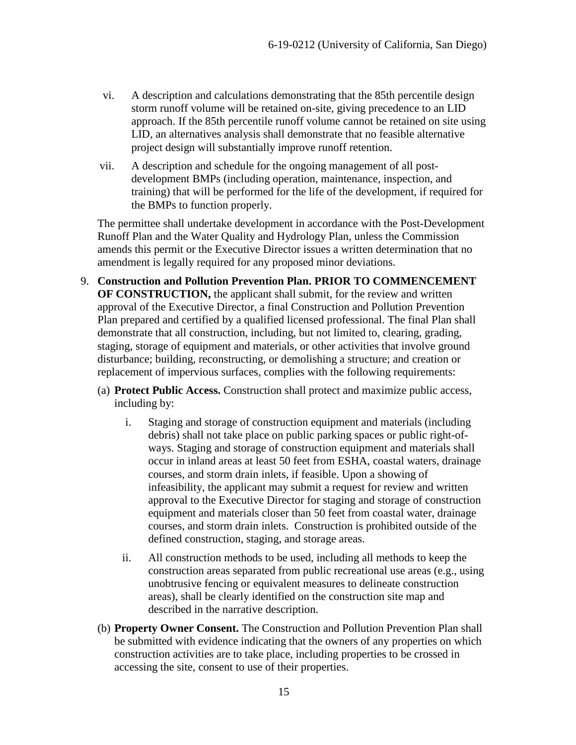- vi. A description and calculations demonstrating that the 85th percentile design storm runoff volume will be retained on-site, giving precedence to an LID approach. If the 85th percentile runoff volume cannot be retained on site using LID, an alternatives analysis shall demonstrate that no feasible alternative project design will substantially improve runoff retention.
- vii. A description and schedule for the ongoing management of all postdevelopment BMPs (including operation, maintenance, inspection, and training) that will be performed for the life of the development, if required for the BMPs to function properly.

The permittee shall undertake development in accordance with the Post-Development Runoff Plan and the Water Quality and Hydrology Plan, unless the Commission amends this permit or the Executive Director issues a written determination that no amendment is legally required for any proposed minor deviations.

- 9. **Construction and Pollution Prevention Plan. PRIOR TO COMMENCEMENT OF CONSTRUCTION,** the applicant shall submit, for the review and written approval of the Executive Director, a final Construction and Pollution Prevention Plan prepared and certified by a qualified licensed professional. The final Plan shall demonstrate that all construction, including, but not limited to, clearing, grading, staging, storage of equipment and materials, or other activities that involve ground disturbance; building, reconstructing, or demolishing a structure; and creation or replacement of impervious surfaces, complies with the following requirements:
	- (a) **Protect Public Access.** Construction shall protect and maximize public access, including by:
		- i. Staging and storage of construction equipment and materials (including debris) shall not take place on public parking spaces or public right-ofways. Staging and storage of construction equipment and materials shall occur in inland areas at least 50 feet from ESHA, coastal waters, drainage courses, and storm drain inlets, if feasible. Upon a showing of infeasibility, the applicant may submit a request for review and written approval to the Executive Director for staging and storage of construction equipment and materials closer than 50 feet from coastal water, drainage courses, and storm drain inlets. Construction is prohibited outside of the defined construction, staging, and storage areas.
		- ii. All construction methods to be used, including all methods to keep the construction areas separated from public recreational use areas (e.g., using unobtrusive fencing or equivalent measures to delineate construction areas), shall be clearly identified on the construction site map and described in the narrative description.
	- (b) **Property Owner Consent.** The Construction and Pollution Prevention Plan shall be submitted with evidence indicating that the owners of any properties on which construction activities are to take place, including properties to be crossed in accessing the site, consent to use of their properties.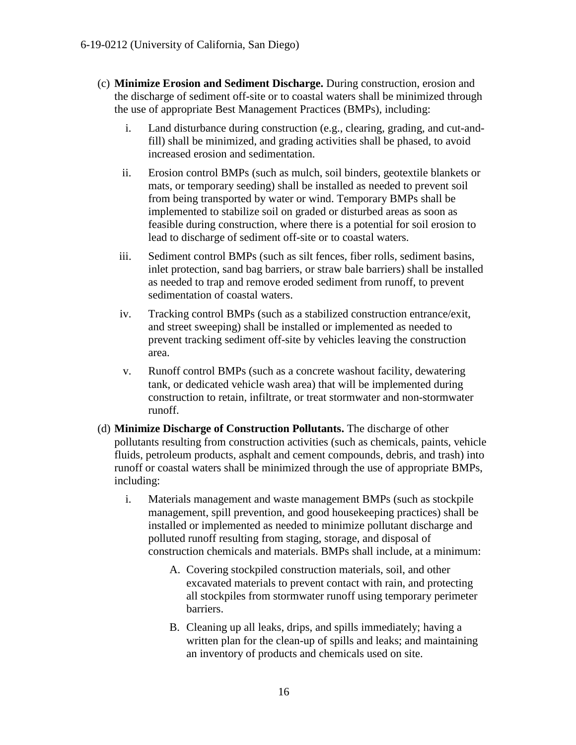- (c) **Minimize Erosion and Sediment Discharge.** During construction, erosion and the discharge of sediment off-site or to coastal waters shall be minimized through the use of appropriate Best Management Practices (BMPs), including:
	- i. Land disturbance during construction (e.g., clearing, grading, and cut-andfill) shall be minimized, and grading activities shall be phased, to avoid increased erosion and sedimentation.
	- ii. Erosion control BMPs (such as mulch, soil binders, geotextile blankets or mats, or temporary seeding) shall be installed as needed to prevent soil from being transported by water or wind. Temporary BMPs shall be implemented to stabilize soil on graded or disturbed areas as soon as feasible during construction, where there is a potential for soil erosion to lead to discharge of sediment off-site or to coastal waters.
	- iii. Sediment control BMPs (such as silt fences, fiber rolls, sediment basins, inlet protection, sand bag barriers, or straw bale barriers) shall be installed as needed to trap and remove eroded sediment from runoff, to prevent sedimentation of coastal waters.
	- iv. Tracking control BMPs (such as a stabilized construction entrance/exit, and street sweeping) shall be installed or implemented as needed to prevent tracking sediment off-site by vehicles leaving the construction area.
	- v. Runoff control BMPs (such as a concrete washout facility, dewatering tank, or dedicated vehicle wash area) that will be implemented during construction to retain, infiltrate, or treat stormwater and non-stormwater runoff.
- (d) **Minimize Discharge of Construction Pollutants.** The discharge of other pollutants resulting from construction activities (such as chemicals, paints, vehicle fluids, petroleum products, asphalt and cement compounds, debris, and trash) into runoff or coastal waters shall be minimized through the use of appropriate BMPs, including:
	- i. Materials management and waste management BMPs (such as stockpile management, spill prevention, and good housekeeping practices) shall be installed or implemented as needed to minimize pollutant discharge and polluted runoff resulting from staging, storage, and disposal of construction chemicals and materials. BMPs shall include, at a minimum:
		- A. Covering stockpiled construction materials, soil, and other excavated materials to prevent contact with rain, and protecting all stockpiles from stormwater runoff using temporary perimeter barriers.
		- B. Cleaning up all leaks, drips, and spills immediately; having a written plan for the clean-up of spills and leaks; and maintaining an inventory of products and chemicals used on site.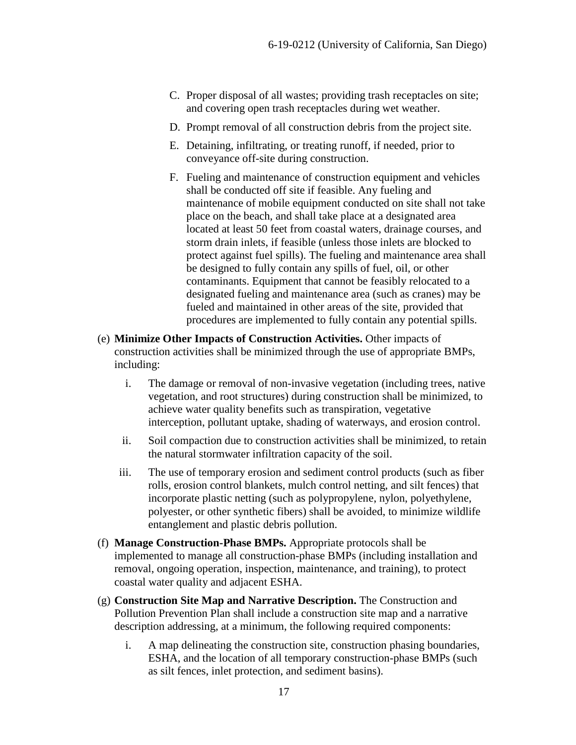- C. Proper disposal of all wastes; providing trash receptacles on site; and covering open trash receptacles during wet weather.
- D. Prompt removal of all construction debris from the project site.
- E. Detaining, infiltrating, or treating runoff, if needed, prior to conveyance off-site during construction.
- F. Fueling and maintenance of construction equipment and vehicles shall be conducted off site if feasible. Any fueling and maintenance of mobile equipment conducted on site shall not take place on the beach, and shall take place at a designated area located at least 50 feet from coastal waters, drainage courses, and storm drain inlets, if feasible (unless those inlets are blocked to protect against fuel spills). The fueling and maintenance area shall be designed to fully contain any spills of fuel, oil, or other contaminants. Equipment that cannot be feasibly relocated to a designated fueling and maintenance area (such as cranes) may be fueled and maintained in other areas of the site, provided that procedures are implemented to fully contain any potential spills.
- (e) **Minimize Other Impacts of Construction Activities.** Other impacts of construction activities shall be minimized through the use of appropriate BMPs, including:
	- i. The damage or removal of non-invasive vegetation (including trees, native vegetation, and root structures) during construction shall be minimized, to achieve water quality benefits such as transpiration, vegetative interception, pollutant uptake, shading of waterways, and erosion control.
	- ii. Soil compaction due to construction activities shall be minimized, to retain the natural stormwater infiltration capacity of the soil.
	- iii. The use of temporary erosion and sediment control products (such as fiber rolls, erosion control blankets, mulch control netting, and silt fences) that incorporate plastic netting (such as polypropylene, nylon, polyethylene, polyester, or other synthetic fibers) shall be avoided, to minimize wildlife entanglement and plastic debris pollution.
- (f) **Manage Construction-Phase BMPs.** Appropriate protocols shall be implemented to manage all construction-phase BMPs (including installation and removal, ongoing operation, inspection, maintenance, and training), to protect coastal water quality and adjacent ESHA.
- (g) **Construction Site Map and Narrative Description.** The Construction and Pollution Prevention Plan shall include a construction site map and a narrative description addressing, at a minimum, the following required components:
	- i. A map delineating the construction site, construction phasing boundaries, ESHA, and the location of all temporary construction-phase BMPs (such as silt fences, inlet protection, and sediment basins).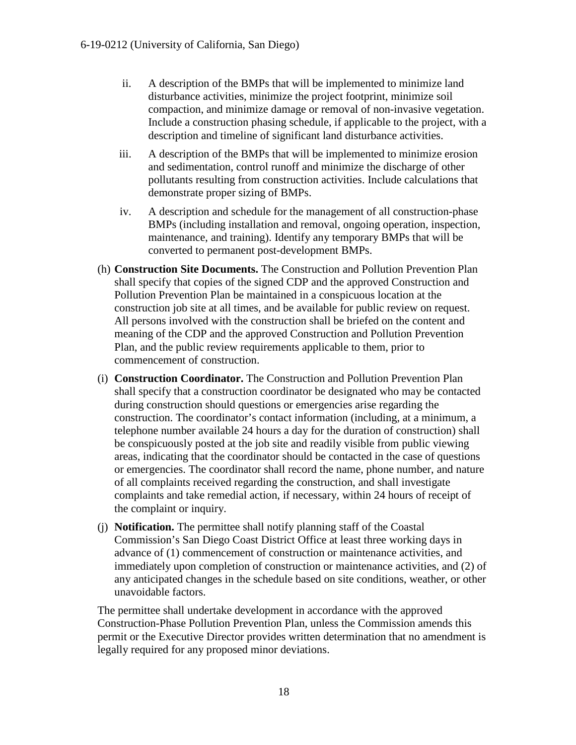- ii. A description of the BMPs that will be implemented to minimize land disturbance activities, minimize the project footprint, minimize soil compaction, and minimize damage or removal of non-invasive vegetation. Include a construction phasing schedule, if applicable to the project, with a description and timeline of significant land disturbance activities.
- iii. A description of the BMPs that will be implemented to minimize erosion and sedimentation, control runoff and minimize the discharge of other pollutants resulting from construction activities. Include calculations that demonstrate proper sizing of BMPs.
- iv. A description and schedule for the management of all construction-phase BMPs (including installation and removal, ongoing operation, inspection, maintenance, and training). Identify any temporary BMPs that will be converted to permanent post-development BMPs.
- (h) **Construction Site Documents.** The Construction and Pollution Prevention Plan shall specify that copies of the signed CDP and the approved Construction and Pollution Prevention Plan be maintained in a conspicuous location at the construction job site at all times, and be available for public review on request. All persons involved with the construction shall be briefed on the content and meaning of the CDP and the approved Construction and Pollution Prevention Plan, and the public review requirements applicable to them, prior to commencement of construction.
- (i) **Construction Coordinator.** The Construction and Pollution Prevention Plan shall specify that a construction coordinator be designated who may be contacted during construction should questions or emergencies arise regarding the construction. The coordinator's contact information (including, at a minimum, a telephone number available 24 hours a day for the duration of construction) shall be conspicuously posted at the job site and readily visible from public viewing areas, indicating that the coordinator should be contacted in the case of questions or emergencies. The coordinator shall record the name, phone number, and nature of all complaints received regarding the construction, and shall investigate complaints and take remedial action, if necessary, within 24 hours of receipt of the complaint or inquiry.
- (j) **Notification.** The permittee shall notify planning staff of the Coastal Commission's San Diego Coast District Office at least three working days in advance of (1) commencement of construction or maintenance activities, and immediately upon completion of construction or maintenance activities, and (2) of any anticipated changes in the schedule based on site conditions, weather, or other unavoidable factors.

The permittee shall undertake development in accordance with the approved Construction-Phase Pollution Prevention Plan, unless the Commission amends this permit or the Executive Director provides written determination that no amendment is legally required for any proposed minor deviations.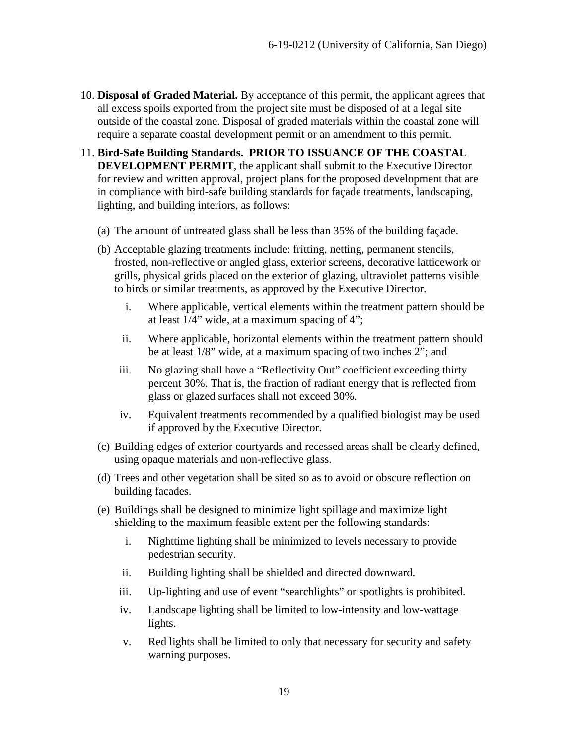- 10. **Disposal of Graded Material.** By acceptance of this permit, the applicant agrees that all excess spoils exported from the project site must be disposed of at a legal site outside of the coastal zone. Disposal of graded materials within the coastal zone will require a separate coastal development permit or an amendment to this permit.
- 11. **Bird-Safe Building Standards. PRIOR TO ISSUANCE OF THE COASTAL DEVELOPMENT PERMIT**, the applicant shall submit to the Executive Director for review and written approval, project plans for the proposed development that are in compliance with bird-safe building standards for façade treatments, landscaping, lighting, and building interiors, as follows:
	- (a) The amount of untreated glass shall be less than 35% of the building façade.
	- (b) Acceptable glazing treatments include: fritting, netting, permanent stencils, frosted, non-reflective or angled glass, exterior screens, decorative latticework or grills, physical grids placed on the exterior of glazing, ultraviolet patterns visible to birds or similar treatments, as approved by the Executive Director.
		- i. Where applicable, vertical elements within the treatment pattern should be at least 1/4" wide, at a maximum spacing of 4";
		- ii. Where applicable, horizontal elements within the treatment pattern should be at least 1/8" wide, at a maximum spacing of two inches 2"; and
		- iii. No glazing shall have a "Reflectivity Out" coefficient exceeding thirty percent 30%. That is, the fraction of radiant energy that is reflected from glass or glazed surfaces shall not exceed 30%.
		- iv. Equivalent treatments recommended by a qualified biologist may be used if approved by the Executive Director.
	- (c) Building edges of exterior courtyards and recessed areas shall be clearly defined, using opaque materials and non-reflective glass.
	- (d) Trees and other vegetation shall be sited so as to avoid or obscure reflection on building facades.
	- (e) Buildings shall be designed to minimize light spillage and maximize light shielding to the maximum feasible extent per the following standards:
		- i. Nighttime lighting shall be minimized to levels necessary to provide pedestrian security.
		- ii. Building lighting shall be shielded and directed downward.
		- iii. Up-lighting and use of event "searchlights" or spotlights is prohibited.
		- iv. Landscape lighting shall be limited to low-intensity and low-wattage lights.
		- v. Red lights shall be limited to only that necessary for security and safety warning purposes.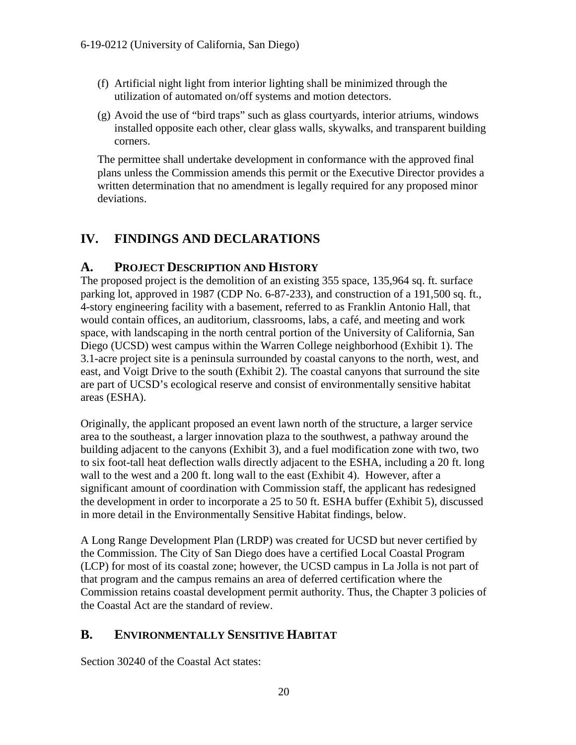- (f) Artificial night light from interior lighting shall be minimized through the utilization of automated on/off systems and motion detectors.
- (g) Avoid the use of "bird traps" such as glass courtyards, interior atriums, windows installed opposite each other, clear glass walls, skywalks, and transparent building corners.

The permittee shall undertake development in conformance with the approved final plans unless the Commission amends this permit or the Executive Director provides a written determination that no amendment is legally required for any proposed minor deviations.

## <span id="page-19-0"></span>**IV. FINDINGS AND DECLARATIONS**

#### <span id="page-19-1"></span>**A. PROJECT DESCRIPTION AND HISTORY**

The proposed project is the demolition of an existing 355 space, 135,964 sq. ft. surface parking lot, approved in 1987 (CDP No. 6-87-233), and construction of a 191,500 sq. ft., 4-story engineering facility with a basement, referred to as Franklin Antonio Hall, that would contain offices, an auditorium, classrooms, labs, a café, and meeting and work space, with landscaping in the north central portion of the University of California, San Diego (UCSD) west campus within the Warren College neighborhood (Exhibit 1). The 3.1-acre project site is a peninsula surrounded by coastal canyons to the north, west, and east, and Voigt Drive to the south (Exhibit 2). The coastal canyons that surround the site are part of UCSD's ecological reserve and consist of environmentally sensitive habitat areas (ESHA).

Originally, the applicant proposed an event lawn north of the structure, a larger service area to the southeast, a larger innovation plaza to the southwest, a pathway around the building adjacent to the canyons (Exhibit 3), and a fuel modification zone with two, two to six foot-tall heat deflection walls directly adjacent to the ESHA, including a 20 ft. long wall to the west and a 200 ft. long wall to the east (Exhibit 4). However, after a significant amount of coordination with Commission staff, the applicant has redesigned the development in order to incorporate a 25 to 50 ft. ESHA buffer (Exhibit 5), discussed in more detail in the Environmentally Sensitive Habitat findings, below.

A Long Range Development Plan (LRDP) was created for UCSD but never certified by the Commission. The City of San Diego does have a certified Local Coastal Program (LCP) for most of its coastal zone; however, the UCSD campus in La Jolla is not part of that program and the campus remains an area of deferred certification where the Commission retains coastal development permit authority. Thus, the Chapter 3 policies of the Coastal Act are the standard of review.

### <span id="page-19-2"></span>**B. ENVIRONMENTALLY SENSITIVE HABITAT**

Section 30240 of the Coastal Act states: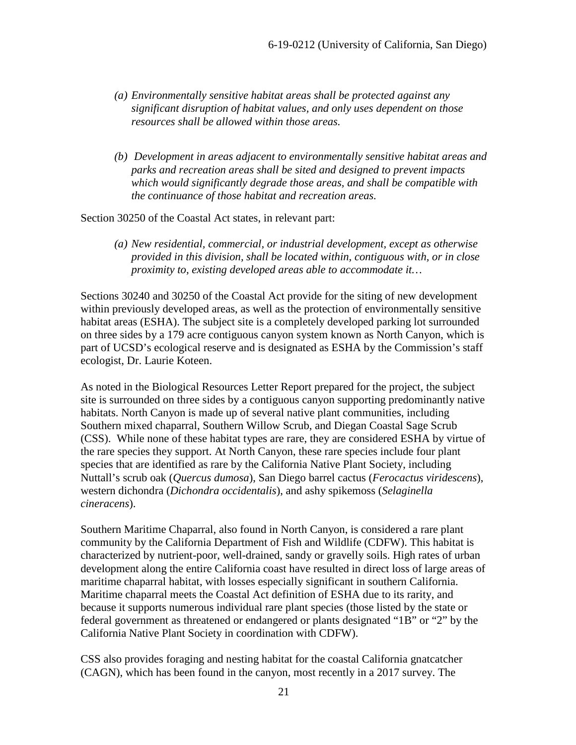- *(a) Environmentally sensitive habitat areas shall be protected against any significant disruption of habitat values, and only uses dependent on those resources shall be allowed within those areas.*
- *(b) Development in areas adjacent to environmentally sensitive habitat areas and parks and recreation areas shall be sited and designed to prevent impacts which would significantly degrade those areas, and shall be compatible with the continuance of those habitat and recreation areas.*

Section 30250 of the Coastal Act states, in relevant part:

*(a) New residential, commercial, or industrial development, except as otherwise provided in this division, shall be located within, contiguous with, or in close proximity to, existing developed areas able to accommodate it…* 

Sections 30240 and 30250 of the Coastal Act provide for the siting of new development within previously developed areas, as well as the protection of environmentally sensitive habitat areas (ESHA). The subject site is a completely developed parking lot surrounded on three sides by a 179 acre contiguous canyon system known as North Canyon, which is part of UCSD's ecological reserve and is designated as ESHA by the Commission's staff ecologist, Dr. Laurie Koteen.

As noted in the Biological Resources Letter Report prepared for the project, the subject site is surrounded on three sides by a contiguous canyon supporting predominantly native habitats. North Canyon is made up of several native plant communities, including Southern mixed chaparral, Southern Willow Scrub, and Diegan Coastal Sage Scrub (CSS). While none of these habitat types are rare, they are considered ESHA by virtue of the rare species they support. At North Canyon, these rare species include four plant species that are identified as rare by the California Native Plant Society, including Nuttall's scrub oak (*Quercus dumosa*), San Diego barrel cactus (*Ferocactus viridescens*), western dichondra (*Dichondra occidentalis*), and ashy spikemoss (*Selaginella cineracens*).

Southern Maritime Chaparral, also found in North Canyon, is considered a rare plant community by the California Department of Fish and Wildlife (CDFW). This habitat is characterized by nutrient-poor, well-drained, sandy or gravelly soils. High rates of urban development along the entire California coast have resulted in direct loss of large areas of maritime chaparral habitat, with losses especially significant in southern California. Maritime chaparral meets the Coastal Act definition of ESHA due to its rarity, and because it supports numerous individual rare plant species (those listed by the state or federal government as threatened or endangered or plants designated "1B" or "2" by the California Native Plant Society in coordination with CDFW).

CSS also provides foraging and nesting habitat for the coastal California gnatcatcher (CAGN), which has been found in the canyon, most recently in a 2017 survey. The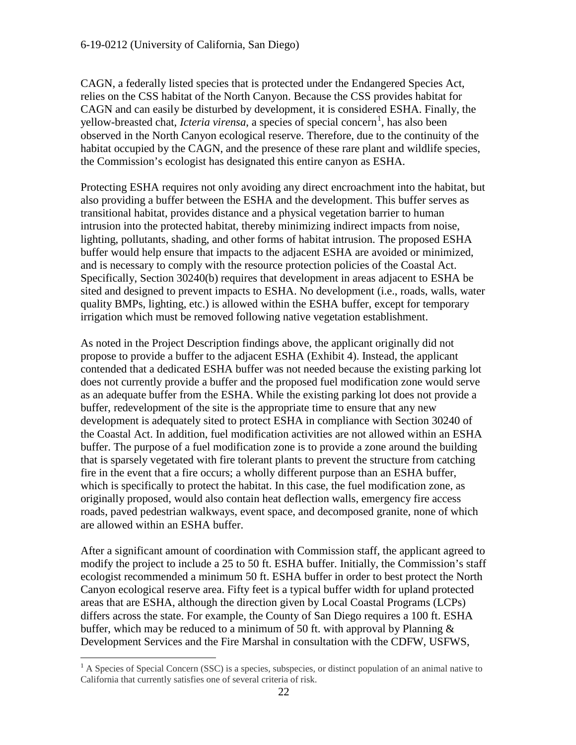CAGN, a federally listed species that is protected under the Endangered Species Act, relies on the CSS habitat of the North Canyon. Because the CSS provides habitat for CAGN and can easily be disturbed by development, it is considered ESHA. Finally, the yellow-breasted chat, *Icteria virensa*, a species of special concern<sup>[1](#page-21-0)</sup>, has also been observed in the North Canyon ecological reserve. Therefore, due to the continuity of the habitat occupied by the CAGN, and the presence of these rare plant and wildlife species, the Commission's ecologist has designated this entire canyon as ESHA.

Protecting ESHA requires not only avoiding any direct encroachment into the habitat, but also providing a buffer between the ESHA and the development. This buffer serves as transitional habitat, provides distance and a physical vegetation barrier to human intrusion into the protected habitat, thereby minimizing indirect impacts from noise, lighting, pollutants, shading, and other forms of habitat intrusion. The proposed ESHA buffer would help ensure that impacts to the adjacent ESHA are avoided or minimized, and is necessary to comply with the resource protection policies of the Coastal Act. Specifically, Section 30240(b) requires that development in areas adjacent to ESHA be sited and designed to prevent impacts to ESHA. No development (i.e., roads, walls, water quality BMPs, lighting, etc.) is allowed within the ESHA buffer, except for temporary irrigation which must be removed following native vegetation establishment.

As noted in the Project Description findings above, the applicant originally did not propose to provide a buffer to the adjacent ESHA (Exhibit 4). Instead, the applicant contended that a dedicated ESHA buffer was not needed because the existing parking lot does not currently provide a buffer and the proposed fuel modification zone would serve as an adequate buffer from the ESHA. While the existing parking lot does not provide a buffer, redevelopment of the site is the appropriate time to ensure that any new development is adequately sited to protect ESHA in compliance with Section 30240 of the Coastal Act. In addition, fuel modification activities are not allowed within an ESHA buffer. The purpose of a fuel modification zone is to provide a zone around the building that is sparsely vegetated with fire tolerant plants to prevent the structure from catching fire in the event that a fire occurs; a wholly different purpose than an ESHA buffer, which is specifically to protect the habitat. In this case, the fuel modification zone, as originally proposed, would also contain heat deflection walls, emergency fire access roads, paved pedestrian walkways, event space, and decomposed granite, none of which are allowed within an ESHA buffer.

After a significant amount of coordination with Commission staff, the applicant agreed to modify the project to include a 25 to 50 ft. ESHA buffer. Initially, the Commission's staff ecologist recommended a minimum 50 ft. ESHA buffer in order to best protect the North Canyon ecological reserve area. Fifty feet is a typical buffer width for upland protected areas that are ESHA, although the direction given by Local Coastal Programs (LCPs) differs across the state. For example, the County of San Diego requires a 100 ft. ESHA buffer, which may be reduced to a minimum of 50 ft. with approval by Planning  $\&$ Development Services and the Fire Marshal in consultation with the CDFW, USFWS,

 $\overline{a}$ 

<span id="page-21-0"></span> $<sup>1</sup>$  A Species of Special Concern (SSC) is a species, subspecies, or distinct population of an animal native to</sup> California that currently satisfies one of several criteria of risk.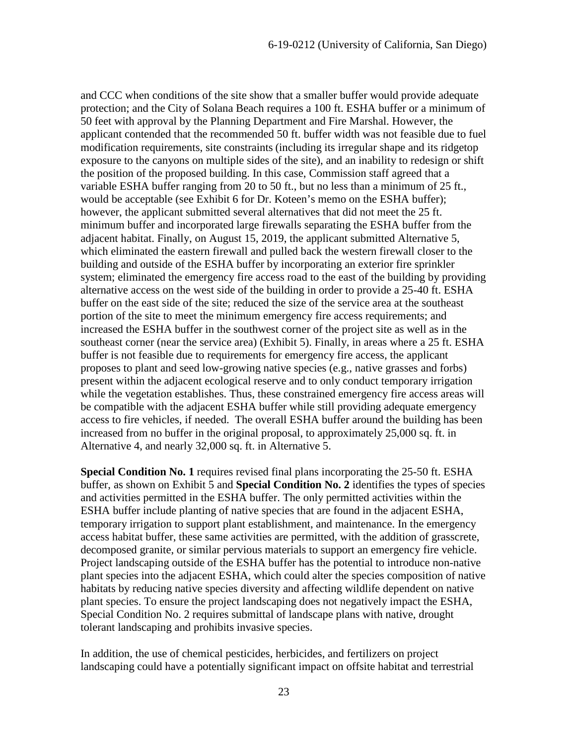and CCC when conditions of the site show that a smaller buffer would provide adequate protection; and the City of Solana Beach requires a 100 ft. ESHA buffer or a minimum of 50 feet with approval by the Planning Department and Fire Marshal. However, the applicant contended that the recommended 50 ft. buffer width was not feasible due to fuel modification requirements, site constraints (including its irregular shape and its ridgetop exposure to the canyons on multiple sides of the site), and an inability to redesign or shift the position of the proposed building. In this case, Commission staff agreed that a variable ESHA buffer ranging from 20 to 50 ft., but no less than a minimum of 25 ft., would be acceptable (see Exhibit 6 for Dr. Koteen's memo on the ESHA buffer); however, the applicant submitted several alternatives that did not meet the 25 ft. minimum buffer and incorporated large firewalls separating the ESHA buffer from the adjacent habitat. Finally, on August 15, 2019, the applicant submitted Alternative 5, which eliminated the eastern firewall and pulled back the western firewall closer to the building and outside of the ESHA buffer by incorporating an exterior fire sprinkler system; eliminated the emergency fire access road to the east of the building by providing alternative access on the west side of the building in order to provide a 25-40 ft. ESHA buffer on the east side of the site; reduced the size of the service area at the southeast portion of the site to meet the minimum emergency fire access requirements; and increased the ESHA buffer in the southwest corner of the project site as well as in the southeast corner (near the service area) (Exhibit 5). Finally, in areas where a 25 ft. ESHA buffer is not feasible due to requirements for emergency fire access, the applicant proposes to plant and seed low-growing native species (e.g., native grasses and forbs) present within the adjacent ecological reserve and to only conduct temporary irrigation while the vegetation establishes. Thus, these constrained emergency fire access areas will be compatible with the adjacent ESHA buffer while still providing adequate emergency access to fire vehicles, if needed. The overall ESHA buffer around the building has been increased from no buffer in the original proposal, to approximately 25,000 sq. ft. in Alternative 4, and nearly 32,000 sq. ft. in Alternative 5.

**Special Condition No. 1** requires revised final plans incorporating the 25-50 ft. ESHA buffer, as shown on Exhibit 5 and **Special Condition No. 2** identifies the types of species and activities permitted in the ESHA buffer. The only permitted activities within the ESHA buffer include planting of native species that are found in the adjacent ESHA, temporary irrigation to support plant establishment, and maintenance. In the emergency access habitat buffer, these same activities are permitted, with the addition of grasscrete, decomposed granite, or similar pervious materials to support an emergency fire vehicle. Project landscaping outside of the ESHA buffer has the potential to introduce non-native plant species into the adjacent ESHA, which could alter the species composition of native habitats by reducing native species diversity and affecting wildlife dependent on native plant species. To ensure the project landscaping does not negatively impact the ESHA, Special Condition No. 2 requires submittal of landscape plans with native, drought tolerant landscaping and prohibits invasive species.

In addition, the use of chemical pesticides, herbicides, and fertilizers on project landscaping could have a potentially significant impact on offsite habitat and terrestrial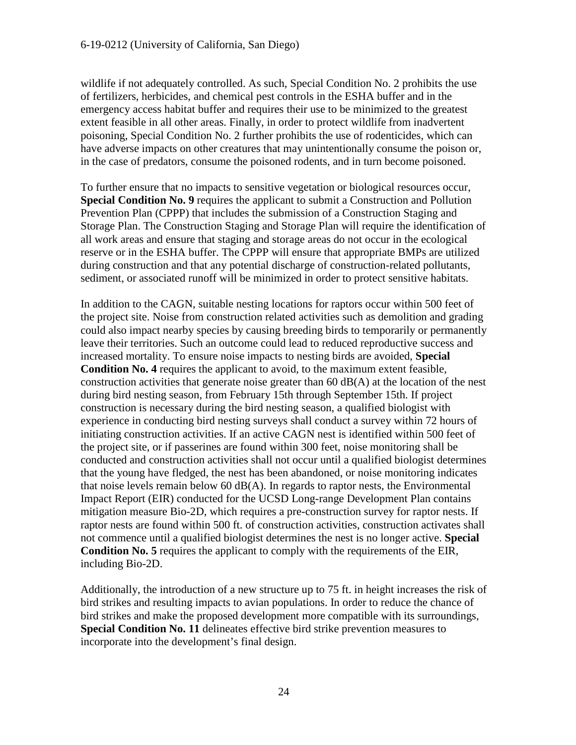wildlife if not adequately controlled. As such, Special Condition No. 2 prohibits the use of fertilizers, herbicides, and chemical pest controls in the ESHA buffer and in the emergency access habitat buffer and requires their use to be minimized to the greatest extent feasible in all other areas. Finally, in order to protect wildlife from inadvertent poisoning, Special Condition No. 2 further prohibits the use of rodenticides, which can have adverse impacts on other creatures that may unintentionally consume the poison or, in the case of predators, consume the poisoned rodents, and in turn become poisoned.

To further ensure that no impacts to sensitive vegetation or biological resources occur, **Special Condition No. 9** requires the applicant to submit a Construction and Pollution Prevention Plan (CPPP) that includes the submission of a Construction Staging and Storage Plan. The Construction Staging and Storage Plan will require the identification of all work areas and ensure that staging and storage areas do not occur in the ecological reserve or in the ESHA buffer. The CPPP will ensure that appropriate BMPs are utilized during construction and that any potential discharge of construction-related pollutants, sediment, or associated runoff will be minimized in order to protect sensitive habitats.

In addition to the CAGN, suitable nesting locations for raptors occur within 500 feet of the project site. Noise from construction related activities such as demolition and grading could also impact nearby species by causing breeding birds to temporarily or permanently leave their territories. Such an outcome could lead to reduced reproductive success and increased mortality. To ensure noise impacts to nesting birds are avoided, **Special Condition No. 4** requires the applicant to avoid, to the maximum extent feasible, construction activities that generate noise greater than 60 dB(A) at the location of the nest during bird nesting season, from February 15th through September 15th. If project construction is necessary during the bird nesting season, a qualified biologist with experience in conducting bird nesting surveys shall conduct a survey within 72 hours of initiating construction activities. If an active CAGN nest is identified within 500 feet of the project site, or if passerines are found within 300 feet, noise monitoring shall be conducted and construction activities shall not occur until a qualified biologist determines that the young have fledged, the nest has been abandoned, or noise monitoring indicates that noise levels remain below  $60 \text{ dB}(A)$ . In regards to raptor nests, the Environmental Impact Report (EIR) conducted for the UCSD Long-range Development Plan contains mitigation measure Bio-2D, which requires a pre-construction survey for raptor nests. If raptor nests are found within 500 ft. of construction activities, construction activates shall not commence until a qualified biologist determines the nest is no longer active. **Special Condition No. 5** requires the applicant to comply with the requirements of the EIR, including Bio-2D.

Additionally, the introduction of a new structure up to 75 ft. in height increases the risk of bird strikes and resulting impacts to avian populations. In order to reduce the chance of bird strikes and make the proposed development more compatible with its surroundings, **Special Condition No. 11** delineates effective bird strike prevention measures to incorporate into the development's final design.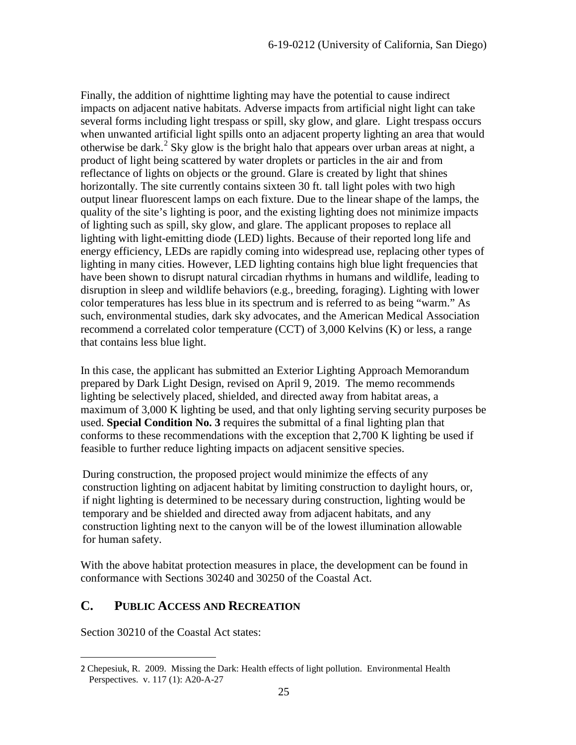Finally, the addition of nighttime lighting may have the potential to cause indirect impacts on adjacent native habitats. Adverse impacts from artificial night light can take several forms including light trespass or spill, sky glow, and glare. Light trespass occurs when unwanted artificial light spills onto an adjacent property lighting an area that would otherwise be dark.<sup>[2](#page-24-1)</sup> Sky glow is the bright halo that appears over urban areas at night, a product of light being scattered by water droplets or particles in the air and from reflectance of lights on objects or the ground. Glare is created by light that shines horizontally. The site currently contains sixteen 30 ft. tall light poles with two high output linear fluorescent lamps on each fixture. Due to the linear shape of the lamps, the quality of the site's lighting is poor, and the existing lighting does not minimize impacts of lighting such as spill, sky glow, and glare. The applicant proposes to replace all lighting with light-emitting diode (LED) lights. Because of their reported long life and energy efficiency, LEDs are rapidly coming into widespread use, replacing other types of lighting in many cities. However, LED lighting contains high blue light frequencies that have been shown to disrupt natural circadian rhythms in humans and wildlife, leading to disruption in sleep and wildlife behaviors (e.g., breeding, foraging). Lighting with lower color temperatures has less blue in its spectrum and is referred to as being "warm." As such, environmental studies, dark sky advocates, and the American Medical Association recommend a correlated color temperature (CCT) of 3,000 Kelvins (K) or less, a range that contains less blue light.

In this case, the applicant has submitted an Exterior Lighting Approach Memorandum prepared by Dark Light Design, revised on April 9, 2019. The memo recommends lighting be selectively placed, shielded, and directed away from habitat areas, a maximum of 3,000 K lighting be used, and that only lighting serving security purposes be used. **Special Condition No. 3** requires the submittal of a final lighting plan that conforms to these recommendations with the exception that 2,700 K lighting be used if feasible to further reduce lighting impacts on adjacent sensitive species.

During construction, the proposed project would minimize the effects of any construction lighting on adjacent habitat by limiting construction to daylight hours, or, if night lighting is determined to be necessary during construction, lighting would be temporary and be shielded and directed away from adjacent habitats, and any construction lighting next to the canyon will be of the lowest illumination allowable for human safety.

With the above habitat protection measures in place, the development can be found in conformance with Sections 30240 and 30250 of the Coastal Act.

## <span id="page-24-0"></span>**C. PUBLIC ACCESS AND RECREATION**

Section 30210 of the Coastal Act states:

 $\overline{a}$ 

<span id="page-24-1"></span><sup>2</sup> Chepesiuk, R. 2009. Missing the Dark: Health effects of light pollution. Environmental Health Perspectives. v. 117 (1): A20-A-27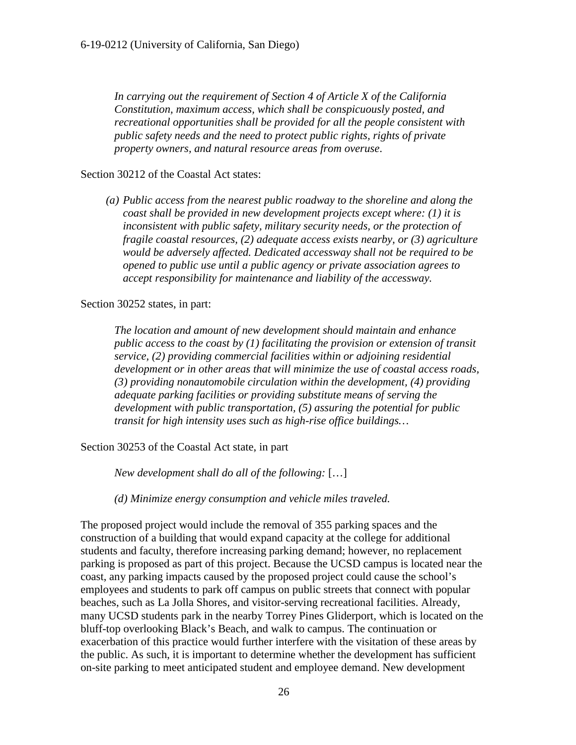*In carrying out the requirement of Section 4 of Article X of the California Constitution, maximum access, which shall be conspicuously posted, and recreational opportunities shall be provided for all the people consistent with public safety needs and the need to protect public rights, rights of private property owners, and natural resource areas from overuse*.

#### Section 30212 of the Coastal Act states:

*(a) Public access from the nearest public roadway to the shoreline and along the coast shall be provided in new development projects except where: (1) it is inconsistent with public safety, military security needs, or the protection of fragile coastal resources, (2) adequate access exists nearby, or (3) agriculture would be adversely affected. Dedicated accessway shall not be required to be opened to public use until a public agency or private association agrees to accept responsibility for maintenance and liability of the accessway.* 

Section 30252 states, in part:

*The location and amount of new development should maintain and enhance public access to the coast by (1) facilitating the provision or extension of transit service, (2) providing commercial facilities within or adjoining residential development or in other areas that will minimize the use of coastal access roads, (3) providing nonautomobile circulation within the development, (4) providing adequate parking facilities or providing substitute means of serving the development with public transportation, (5) assuring the potential for public transit for high intensity uses such as high-rise office buildings…* 

Section 30253 of the Coastal Act state, in part

*New development shall do all of the following:* […]

 *(d) Minimize energy consumption and vehicle miles traveled.* 

The proposed project would include the removal of 355 parking spaces and the construction of a building that would expand capacity at the college for additional students and faculty, therefore increasing parking demand; however, no replacement parking is proposed as part of this project. Because the UCSD campus is located near the coast, any parking impacts caused by the proposed project could cause the school's employees and students to park off campus on public streets that connect with popular beaches, such as La Jolla Shores, and visitor-serving recreational facilities. Already, many UCSD students park in the nearby Torrey Pines Gliderport, which is located on the bluff-top overlooking Black's Beach, and walk to campus. The continuation or exacerbation of this practice would further interfere with the visitation of these areas by the public. As such, it is important to determine whether the development has sufficient on-site parking to meet anticipated student and employee demand. New development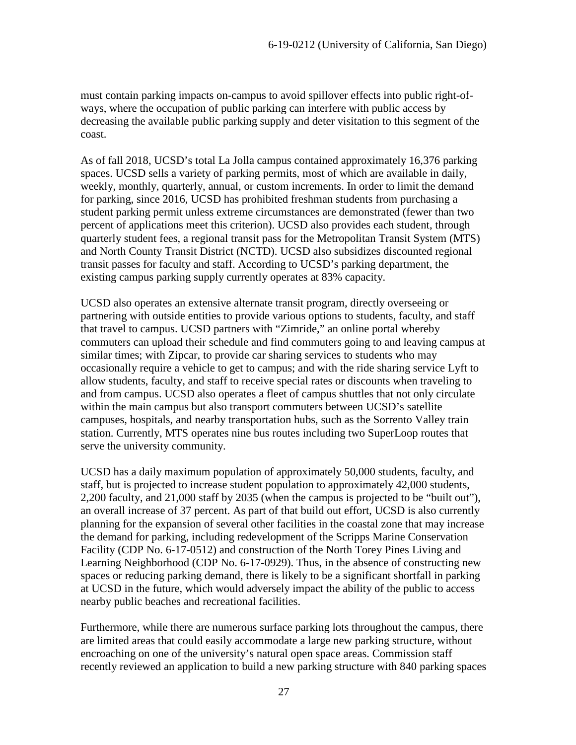must contain parking impacts on-campus to avoid spillover effects into public right-ofways, where the occupation of public parking can interfere with public access by decreasing the available public parking supply and deter visitation to this segment of the coast.

As of fall 2018, UCSD's total La Jolla campus contained approximately 16,376 parking spaces. UCSD sells a variety of parking permits, most of which are available in daily, weekly, monthly, quarterly, annual, or custom increments. In order to limit the demand for parking, since 2016, UCSD has prohibited freshman students from purchasing a student parking permit unless extreme circumstances are demonstrated (fewer than two percent of applications meet this criterion). UCSD also provides each student, through quarterly student fees, a regional transit pass for the Metropolitan Transit System (MTS) and North County Transit District (NCTD). UCSD also subsidizes discounted regional transit passes for faculty and staff. According to UCSD's parking department, the existing campus parking supply currently operates at 83% capacity.

UCSD also operates an extensive alternate transit program, directly overseeing or partnering with outside entities to provide various options to students, faculty, and staff that travel to campus. UCSD partners with "Zimride," an online portal whereby commuters can upload their schedule and find commuters going to and leaving campus at similar times; with Zipcar, to provide car sharing services to students who may occasionally require a vehicle to get to campus; and with the ride sharing service Lyft to allow students, faculty, and staff to receive special rates or discounts when traveling to and from campus. UCSD also operates a fleet of campus shuttles that not only circulate within the main campus but also transport commuters between UCSD's satellite campuses, hospitals, and nearby transportation hubs, such as the Sorrento Valley train station. Currently, MTS operates nine bus routes including two SuperLoop routes that serve the university community.

UCSD has a daily maximum population of approximately 50,000 students, faculty, and staff, but is projected to increase student population to approximately 42,000 students, 2,200 faculty, and 21,000 staff by 2035 (when the campus is projected to be "built out"), an overall increase of 37 percent. As part of that build out effort, UCSD is also currently planning for the expansion of several other facilities in the coastal zone that may increase the demand for parking, including redevelopment of the Scripps Marine Conservation Facility (CDP No. 6-17-0512) and construction of the North Torey Pines Living and Learning Neighborhood (CDP No. 6-17-0929). Thus, in the absence of constructing new spaces or reducing parking demand, there is likely to be a significant shortfall in parking at UCSD in the future, which would adversely impact the ability of the public to access nearby public beaches and recreational facilities.

Furthermore, while there are numerous surface parking lots throughout the campus, there are limited areas that could easily accommodate a large new parking structure, without encroaching on one of the university's natural open space areas. Commission staff recently reviewed an application to build a new parking structure with 840 parking spaces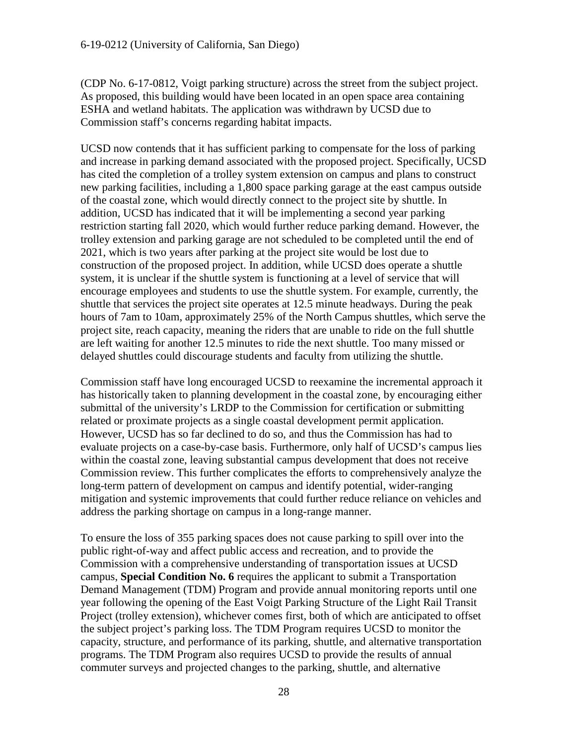(CDP No. 6-17-0812, Voigt parking structure) across the street from the subject project. As proposed, this building would have been located in an open space area containing ESHA and wetland habitats. The application was withdrawn by UCSD due to Commission staff's concerns regarding habitat impacts.

UCSD now contends that it has sufficient parking to compensate for the loss of parking and increase in parking demand associated with the proposed project. Specifically, UCSD has cited the completion of a trolley system extension on campus and plans to construct new parking facilities, including a 1,800 space parking garage at the east campus outside of the coastal zone, which would directly connect to the project site by shuttle. In addition, UCSD has indicated that it will be implementing a second year parking restriction starting fall 2020, which would further reduce parking demand. However, the trolley extension and parking garage are not scheduled to be completed until the end of 2021, which is two years after parking at the project site would be lost due to construction of the proposed project. In addition, while UCSD does operate a shuttle system, it is unclear if the shuttle system is functioning at a level of service that will encourage employees and students to use the shuttle system. For example, currently, the shuttle that services the project site operates at 12.5 minute headways. During the peak hours of 7am to 10am, approximately 25% of the North Campus shuttles, which serve the project site, reach capacity, meaning the riders that are unable to ride on the full shuttle are left waiting for another 12.5 minutes to ride the next shuttle. Too many missed or delayed shuttles could discourage students and faculty from utilizing the shuttle.

Commission staff have long encouraged UCSD to reexamine the incremental approach it has historically taken to planning development in the coastal zone, by encouraging either submittal of the university's LRDP to the Commission for certification or submitting related or proximate projects as a single coastal development permit application. However, UCSD has so far declined to do so, and thus the Commission has had to evaluate projects on a case-by-case basis. Furthermore, only half of UCSD's campus lies within the coastal zone, leaving substantial campus development that does not receive Commission review. This further complicates the efforts to comprehensively analyze the long-term pattern of development on campus and identify potential, wider-ranging mitigation and systemic improvements that could further reduce reliance on vehicles and address the parking shortage on campus in a long-range manner.

To ensure the loss of 355 parking spaces does not cause parking to spill over into the public right-of-way and affect public access and recreation, and to provide the Commission with a comprehensive understanding of transportation issues at UCSD campus, **Special Condition No. 6** requires the applicant to submit a Transportation Demand Management (TDM) Program and provide annual monitoring reports until one year following the opening of the East Voigt Parking Structure of the Light Rail Transit Project (trolley extension), whichever comes first, both of which are anticipated to offset the subject project's parking loss. The TDM Program requires UCSD to monitor the capacity, structure, and performance of its parking, shuttle, and alternative transportation programs. The TDM Program also requires UCSD to provide the results of annual commuter surveys and projected changes to the parking, shuttle, and alternative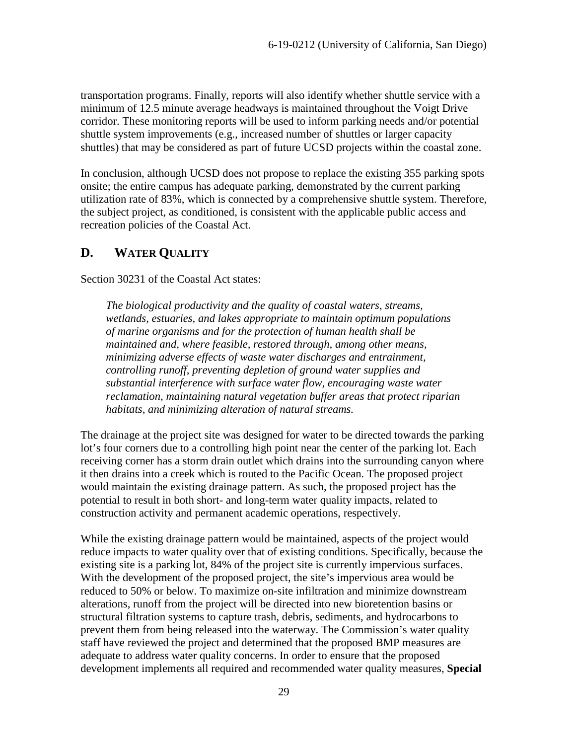transportation programs. Finally, reports will also identify whether shuttle service with a minimum of 12.5 minute average headways is maintained throughout the Voigt Drive corridor. These monitoring reports will be used to inform parking needs and/or potential shuttle system improvements (e.g., increased number of shuttles or larger capacity shuttles) that may be considered as part of future UCSD projects within the coastal zone.

In conclusion, although UCSD does not propose to replace the existing 355 parking spots onsite; the entire campus has adequate parking, demonstrated by the current parking utilization rate of 83%, which is connected by a comprehensive shuttle system. Therefore, the subject project, as conditioned, is consistent with the applicable public access and recreation policies of the Coastal Act.

## <span id="page-28-0"></span>**D. WATER QUALITY**

Section 30231 of the Coastal Act states:

*The biological productivity and the quality of coastal waters, streams, wetlands, estuaries, and lakes appropriate to maintain optimum populations of marine organisms and for the protection of human health shall be maintained and, where feasible, restored through, among other means, minimizing adverse effects of waste water discharges and entrainment, controlling runoff, preventing depletion of ground water supplies and substantial interference with surface water flow, encouraging waste water reclamation, maintaining natural vegetation buffer areas that protect riparian habitats, and minimizing alteration of natural streams.* 

The drainage at the project site was designed for water to be directed towards the parking lot's four corners due to a controlling high point near the center of the parking lot. Each receiving corner has a storm drain outlet which drains into the surrounding canyon where it then drains into a creek which is routed to the Pacific Ocean. The proposed project would maintain the existing drainage pattern. As such, the proposed project has the potential to result in both short- and long-term water quality impacts, related to construction activity and permanent academic operations, respectively.

While the existing drainage pattern would be maintained, aspects of the project would reduce impacts to water quality over that of existing conditions. Specifically, because the existing site is a parking lot, 84% of the project site is currently impervious surfaces. With the development of the proposed project, the site's impervious area would be reduced to 50% or below. To maximize on-site infiltration and minimize downstream alterations, runoff from the project will be directed into new bioretention basins or structural filtration systems to capture trash, debris, sediments, and hydrocarbons to prevent them from being released into the waterway. The Commission's water quality staff have reviewed the project and determined that the proposed BMP measures are adequate to address water quality concerns. In order to ensure that the proposed development implements all required and recommended water quality measures, **Special**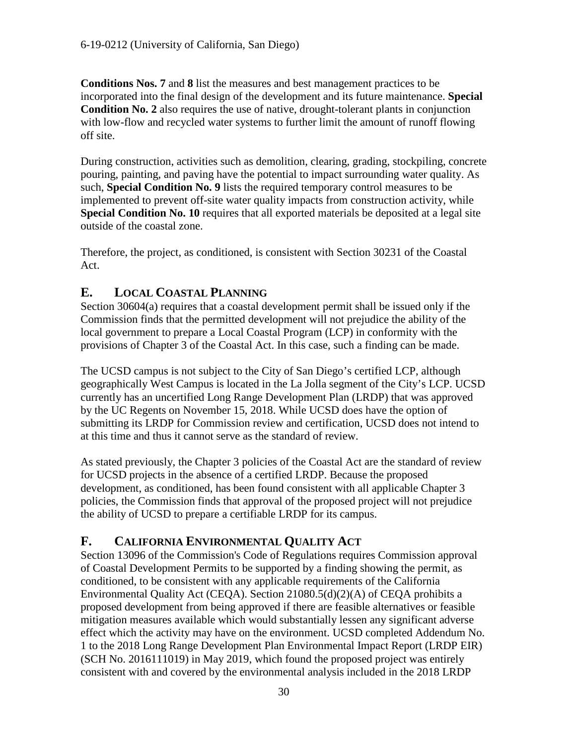**Conditions Nos. 7** and **8** list the measures and best management practices to be incorporated into the final design of the development and its future maintenance. **Special Condition No. 2** also requires the use of native, drought-tolerant plants in conjunction with low-flow and recycled water systems to further limit the amount of runoff flowing off site.

During construction, activities such as demolition, clearing, grading, stockpiling, concrete pouring, painting, and paving have the potential to impact surrounding water quality. As such, **Special Condition No. 9** lists the required temporary control measures to be implemented to prevent off-site water quality impacts from construction activity, while **Special Condition No. 10** requires that all exported materials be deposited at a legal site outside of the coastal zone.

Therefore, the project, as conditioned, is consistent with Section 30231 of the Coastal Act.

### <span id="page-29-0"></span>**E. LOCAL COASTAL PLANNING**

Section 30604(a) requires that a coastal development permit shall be issued only if the Commission finds that the permitted development will not prejudice the ability of the local government to prepare a Local Coastal Program (LCP) in conformity with the provisions of Chapter 3 of the Coastal Act. In this case, such a finding can be made.

The UCSD campus is not subject to the City of San Diego's certified LCP, although geographically West Campus is located in the La Jolla segment of the City's LCP. UCSD currently has an uncertified Long Range Development Plan (LRDP) that was approved by the UC Regents on November 15, 2018. While UCSD does have the option of submitting its LRDP for Commission review and certification, UCSD does not intend to at this time and thus it cannot serve as the standard of review.

As stated previously, the Chapter 3 policies of the Coastal Act are the standard of review for UCSD projects in the absence of a certified LRDP. Because the proposed development, as conditioned, has been found consistent with all applicable Chapter 3 policies, the Commission finds that approval of the proposed project will not prejudice the ability of UCSD to prepare a certifiable LRDP for its campus.

### <span id="page-29-1"></span>**F. CALIFORNIA ENVIRONMENTAL QUALITY ACT**

Section 13096 of the Commission's Code of Regulations requires Commission approval of Coastal Development Permits to be supported by a finding showing the permit, as conditioned, to be consistent with any applicable requirements of the California Environmental Quality Act (CEQA). Section 21080.5(d)(2)(A) of CEQA prohibits a proposed development from being approved if there are feasible alternatives or feasible mitigation measures available which would substantially lessen any significant adverse effect which the activity may have on the environment. UCSD completed Addendum No. 1 to the 2018 Long Range Development Plan Environmental Impact Report (LRDP EIR) (SCH No. 2016111019) in May 2019, which found the proposed project was entirely consistent with and covered by the environmental analysis included in the 2018 LRDP